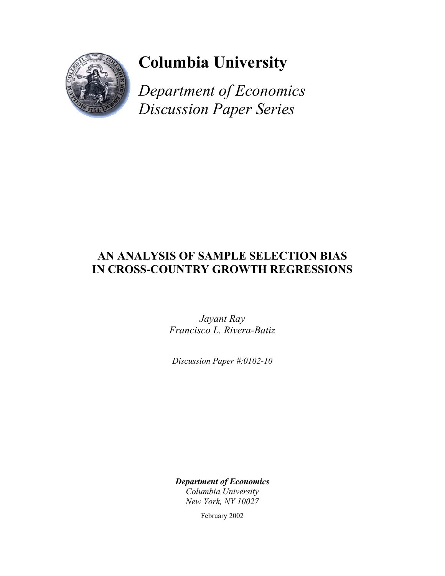

# **Columbia University**

*Department of Economics Discussion Paper Series*

## **AN ANALYSIS OF SAMPLE SELECTION BIAS IN CROSS-COUNTRY GROWTH REGRESSIONS**

*Jayant Ray Francisco L. Rivera-Batiz* 

*Discussion Paper #:0102-10* 

*Department of Economics Columbia University New York, NY 10027* 

February 2002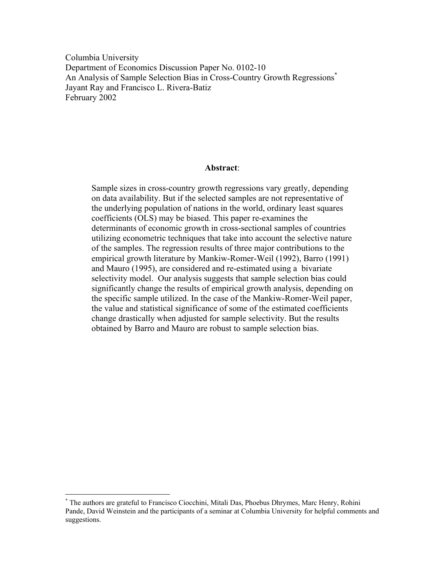Columbia University Department of Economics Discussion Paper No. 0102-10 An Analysis of Sample Selection Bias in Cross-Country Growth Regressions<sup>\*</sup> Jayant Ray and Francisco L. Rivera-Batiz February 2002

## **Abstract**:

Sample sizes in cross-country growth regressions vary greatly, depending on data availability. But if the selected samples are not representative of the underlying population of nations in the world, ordinary least squares coefficients (OLS) may be biased. This paper re-examines the determinants of economic growth in cross-sectional samples of countries utilizing econometric techniques that take into account the selective nature of the samples. The regression results of three major contributions to the empirical growth literature by Mankiw-Romer-Weil (1992), Barro (1991) and Mauro (1995), are considered and re-estimated using a bivariate selectivity model. Our analysis suggests that sample selection bias could significantly change the results of empirical growth analysis, depending on the specific sample utilized. In the case of the Mankiw-Romer-Weil paper, the value and statistical significance of some of the estimated coefficients change drastically when adjusted for sample selectivity. But the results obtained by Barro and Mauro are robust to sample selection bias.

 $\overline{a}$ 

<sup>\*</sup> The authors are grateful to Francisco Ciocchini, Mitali Das, Phoebus Dhrymes, Marc Henry, Rohini Pande, David Weinstein and the participants of a seminar at Columbia University for helpful comments and suggestions.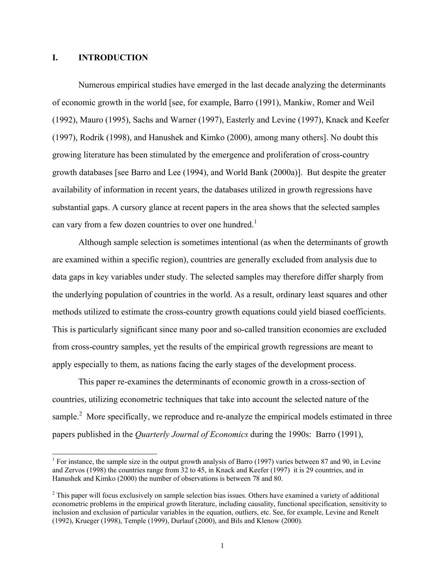## **I. INTRODUCTION**

 $\overline{a}$ 

Numerous empirical studies have emerged in the last decade analyzing the determinants of economic growth in the world [see, for example, Barro (1991), Mankiw, Romer and Weil (1992), Mauro (1995), Sachs and Warner (1997), Easterly and Levine (1997), Knack and Keefer (1997), Rodrik (1998), and Hanushek and Kimko (2000), among many others]. No doubt this growing literature has been stimulated by the emergence and proliferation of cross-country growth databases [see Barro and Lee (1994), and World Bank (2000a)]. But despite the greater availability of information in recent years, the databases utilized in growth regressions have substantial gaps. A cursory glance at recent papers in the area shows that the selected samples can vary from a few dozen countries to over one hundred.<sup>1</sup>

Although sample selection is sometimes intentional (as when the determinants of growth are examined within a specific region), countries are generally excluded from analysis due to data gaps in key variables under study. The selected samples may therefore differ sharply from the underlying population of countries in the world. As a result, ordinary least squares and other methods utilized to estimate the cross-country growth equations could yield biased coefficients. This is particularly significant since many poor and so-called transition economies are excluded from cross-country samples, yet the results of the empirical growth regressions are meant to apply especially to them, as nations facing the early stages of the development process.

This paper re-examines the determinants of economic growth in a cross-section of countries, utilizing econometric techniques that take into account the selected nature of the sample.<sup>2</sup> More specifically, we reproduce and re-analyze the empirical models estimated in three papers published in the *Quarterly Journal of Economics* during the 1990s: Barro (1991),

<sup>&</sup>lt;sup>1</sup> For instance, the sample size in the output growth analysis of Barro (1997) varies between 87 and 90, in Levine and Zervos (1998) the countries range from 32 to 45, in Knack and Keefer (1997) it is 29 countries, and in Hanushek and Kimko (2000) the number of observations is between 78 and 80.

 $2$  This paper will focus exclusively on sample selection bias issues. Others have examined a variety of additional econometric problems in the empirical growth literature, including causality, functional specification, sensitivity to inclusion and exclusion of particular variables in the equation, outliers, etc. See, for example, Levine and Renelt (1992), Krueger (1998), Temple (1999), Durlauf (2000), and Bils and Klenow (2000).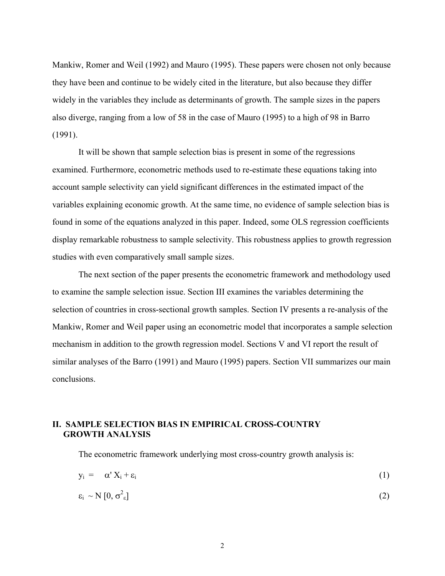Mankiw, Romer and Weil (1992) and Mauro (1995). These papers were chosen not only because they have been and continue to be widely cited in the literature, but also because they differ widely in the variables they include as determinants of growth. The sample sizes in the papers also diverge, ranging from a low of 58 in the case of Mauro (1995) to a high of 98 in Barro (1991).

 It will be shown that sample selection bias is present in some of the regressions examined. Furthermore, econometric methods used to re-estimate these equations taking into account sample selectivity can yield significant differences in the estimated impact of the variables explaining economic growth. At the same time, no evidence of sample selection bias is found in some of the equations analyzed in this paper. Indeed, some OLS regression coefficients display remarkable robustness to sample selectivity. This robustness applies to growth regression studies with even comparatively small sample sizes.

 The next section of the paper presents the econometric framework and methodology used to examine the sample selection issue. Section III examines the variables determining the selection of countries in cross-sectional growth samples. Section IV presents a re-analysis of the Mankiw, Romer and Weil paper using an econometric model that incorporates a sample selection mechanism in addition to the growth regression model. Sections V and VI report the result of similar analyses of the Barro (1991) and Mauro (1995) papers. Section VII summarizes our main conclusions.

## **II. SAMPLE SELECTION BIAS IN EMPIRICAL CROSS-COUNTRY GROWTH ANALYSIS**

The econometric framework underlying most cross-country growth analysis is:

| $y_i = \alpha' X_i + \varepsilon_i$                                            | (1) |
|--------------------------------------------------------------------------------|-----|
| $\epsilon_{\rm i} \sim \mathrm{N}\left[0,\sigma_{\rm \, \varepsilon}^2\right]$ | (2) |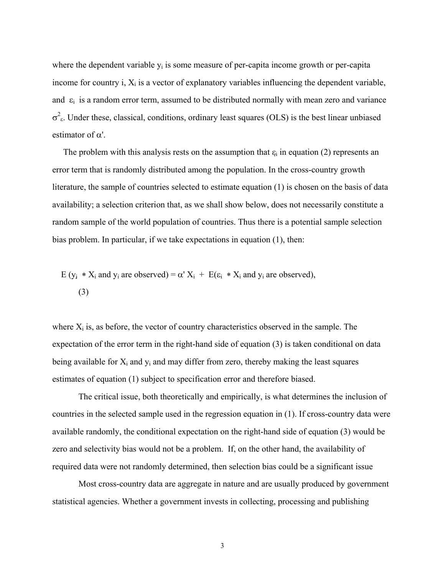where the dependent variable  $y_i$  is some measure of per-capita income growth or per-capita income for country i,  $X_i$  is a vector of explanatory variables influencing the dependent variable, and  $\varepsilon_i$  is a random error term, assumed to be distributed normally with mean zero and variance  $\sigma^2$ <sub>ε</sub>. Under these, classical, conditions, ordinary least squares (OLS) is the best linear unbiased estimator of  $\alpha'$ .

The problem with this analysis rests on the assumption that  $\varepsilon_i$  in equation (2) represents an error term that is randomly distributed among the population. In the cross-country growth literature, the sample of countries selected to estimate equation (1) is chosen on the basis of data availability; a selection criterion that, as we shall show below, does not necessarily constitute a random sample of the world population of countries. Thus there is a potential sample selection bias problem. In particular, if we take expectations in equation (1), then:

E (y<sub>i</sub> \* X<sub>i</sub> and y<sub>i</sub> are observed) = 
$$
\alpha
$$
' X<sub>i</sub> + E( $\varepsilon$ <sub>i</sub> \* X<sub>i</sub> and y<sub>i</sub> are observed),  
(3)

where  $X_i$  is, as before, the vector of country characteristics observed in the sample. The expectation of the error term in the right-hand side of equation (3) is taken conditional on data being available for  $X_i$  and  $y_i$  and may differ from zero, thereby making the least squares estimates of equation (1) subject to specification error and therefore biased.

 The critical issue, both theoretically and empirically, is what determines the inclusion of countries in the selected sample used in the regression equation in (1). If cross-country data were available randomly, the conditional expectation on the right-hand side of equation (3) would be zero and selectivity bias would not be a problem. If, on the other hand, the availability of required data were not randomly determined, then selection bias could be a significant issue

 Most cross-country data are aggregate in nature and are usually produced by government statistical agencies. Whether a government invests in collecting, processing and publishing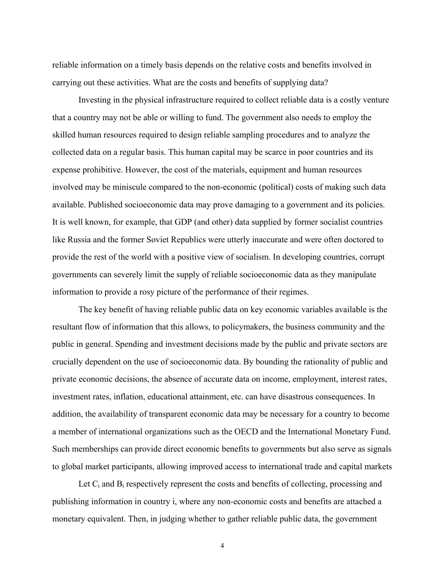reliable information on a timely basis depends on the relative costs and benefits involved in carrying out these activities. What are the costs and benefits of supplying data?

Investing in the physical infrastructure required to collect reliable data is a costly venture that a country may not be able or willing to fund. The government also needs to employ the skilled human resources required to design reliable sampling procedures and to analyze the collected data on a regular basis. This human capital may be scarce in poor countries and its expense prohibitive. However, the cost of the materials, equipment and human resources involved may be miniscule compared to the non-economic (political) costs of making such data available. Published socioeconomic data may prove damaging to a government and its policies. It is well known, for example, that GDP (and other) data supplied by former socialist countries like Russia and the former Soviet Republics were utterly inaccurate and were often doctored to provide the rest of the world with a positive view of socialism. In developing countries, corrupt governments can severely limit the supply of reliable socioeconomic data as they manipulate information to provide a rosy picture of the performance of their regimes.

 The key benefit of having reliable public data on key economic variables available is the resultant flow of information that this allows, to policymakers, the business community and the public in general. Spending and investment decisions made by the public and private sectors are crucially dependent on the use of socioeconomic data. By bounding the rationality of public and private economic decisions, the absence of accurate data on income, employment, interest rates, investment rates, inflation, educational attainment, etc. can have disastrous consequences. In addition, the availability of transparent economic data may be necessary for a country to become a member of international organizations such as the OECD and the International Monetary Fund. Such memberships can provide direct economic benefits to governments but also serve as signals to global market participants, allowing improved access to international trade and capital markets

Let  $C_i$  and  $B_i$  respectively represent the costs and benefits of collecting, processing and publishing information in country i, where any non-economic costs and benefits are attached a monetary equivalent. Then, in judging whether to gather reliable public data, the government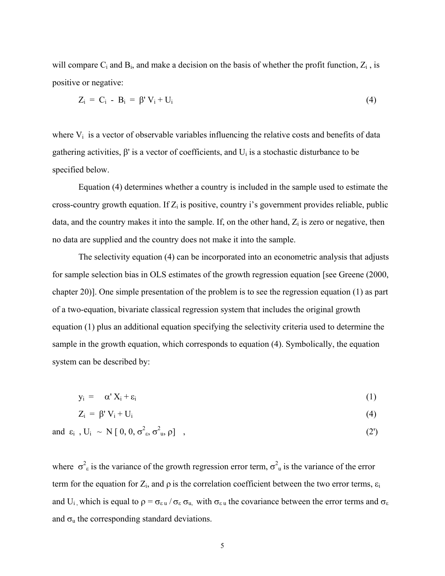will compare  $C_i$  and  $B_i$ , and make a decision on the basis of whether the profit function,  $Z_i$ , is positive or negative:

$$
Z_i = C_i - B_i = \beta' V_i + U_i \tag{4}
$$

where  $V_i$  is a vector of observable variables influencing the relative costs and benefits of data gathering activities,  $\beta'$  is a vector of coefficients, and  $U_i$  is a stochastic disturbance to be specified below.

 Equation (4) determines whether a country is included in the sample used to estimate the cross-country growth equation. If  $Z_i$  is positive, country i's government provides reliable, public data, and the country makes it into the sample. If, on the other hand,  $Z_i$  is zero or negative, then no data are supplied and the country does not make it into the sample.

 The selectivity equation (4) can be incorporated into an econometric analysis that adjusts for sample selection bias in OLS estimates of the growth regression equation [see Greene (2000, chapter 20)]. One simple presentation of the problem is to see the regression equation (1) as part of a two-equation, bivariate classical regression system that includes the original growth equation (1) plus an additional equation specifying the selectivity criteria used to determine the sample in the growth equation, which corresponds to equation (4). Symbolically, the equation system can be described by:

$$
y_i = \alpha' X_i + \varepsilon_i \tag{1}
$$

$$
Z_i = \beta' V_i + U_i \tag{4}
$$

and 
$$
\varepsilon_i
$$
,  $U_i \sim N[0, 0, \sigma^2_{\varepsilon}, \sigma^2_{u}, \rho]$ , 
$$
\qquad (2')
$$

where  $\sigma^2_{\epsilon}$  is the variance of the growth regression error term,  $\sigma^2_{\epsilon}$  is the variance of the error term for the equation for  $Z_i$ , and  $\rho$  is the correlation coefficient between the two error terms,  $\varepsilon_i$ and U<sub>i</sub>, which is equal to  $\rho = \sigma_{\epsilon u}/\sigma_{\epsilon} \sigma_{u}$ , with  $\sigma_{\epsilon u}$  the covariance between the error terms and  $\sigma_{\epsilon}$ and  $\sigma_u$  the corresponding standard deviations.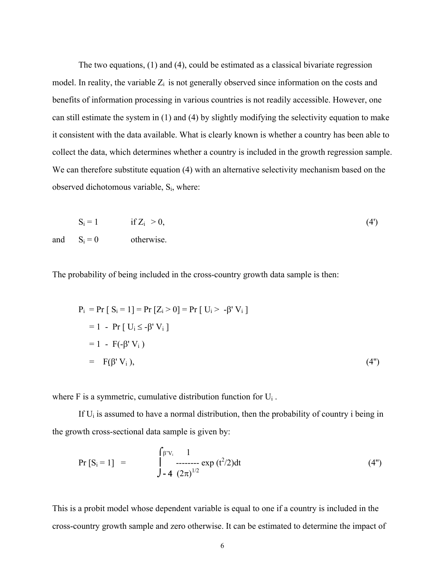The two equations, (1) and (4), could be estimated as a classical bivariate regression model. In reality, the variable  $Z_i$  is not generally observed since information on the costs and benefits of information processing in various countries is not readily accessible. However, one can still estimate the system in (1) and (4) by slightly modifying the selectivity equation to make it consistent with the data available. What is clearly known is whether a country has been able to collect the data, which determines whether a country is included in the growth regression sample. We can therefore substitute equation (4) with an alternative selectivity mechanism based on the observed dichotomous variable, Si, where:

$$
S_i = 1 \t\t\t if Z_i > 0,
$$
  
and 
$$
S_i = 0 \t\t\t otherwise.
$$
 (4')

The probability of being included in the cross-country growth data sample is then:

$$
P_{i} = Pr [ S_{i} = 1] = Pr [Z_{i} > 0] = Pr [ U_{i} > -\beta' V_{i} ]
$$
  
= 1 - Pr [ U\_{i} \le -\beta' V\_{i} ]  
= 1 - F(-\beta' V\_{i})  
= F(\beta' V\_{i}), (4")

where F is a symmetric, cumulative distribution function for  $U_i$ .

If  $U_i$  is assumed to have a normal distribution, then the probability of country i being in the growth cross-sectional data sample is given by:

$$
Pr[S_i = 1] = \int_{-4}^{\beta' V_i} \frac{1}{(2\pi)^{1/2}} exp(t^2/2) dt
$$
 (4")

This is a probit model whose dependent variable is equal to one if a country is included in the cross-country growth sample and zero otherwise. It can be estimated to determine the impact of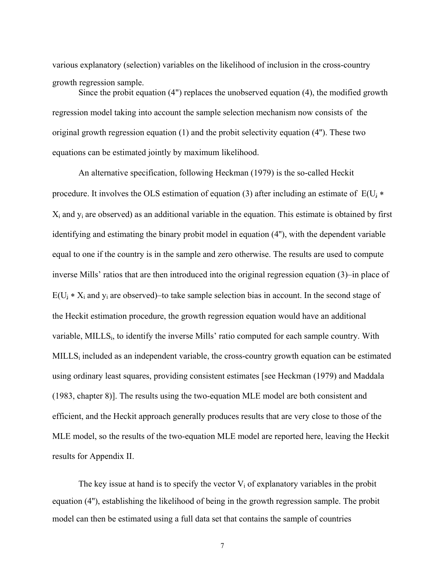various explanatory (selection) variables on the likelihood of inclusion in the cross-country growth regression sample.

 Since the probit equation (4") replaces the unobserved equation (4), the modified growth regression model taking into account the sample selection mechanism now consists of the original growth regression equation  $(1)$  and the probit selectivity equation  $(4")$ . These two equations can be estimated jointly by maximum likelihood.

An alternative specification, following Heckman (1979) is the so-called Heckit procedure. It involves the OLS estimation of equation (3) after including an estimate of  $E(U_i *$ Xi and yi are observed) as an additional variable in the equation. This estimate is obtained by first identifying and estimating the binary probit model in equation (4''), with the dependent variable equal to one if the country is in the sample and zero otherwise. The results are used to compute inverse Mills' ratios that are then introduced into the original regression equation (3)–in place of  $E(U_i * X_i)$  and  $y_i$  are observed)–to take sample selection bias in account. In the second stage of the Heckit estimation procedure, the growth regression equation would have an additional variable, MILLS<sub>i</sub>, to identify the inverse Mills' ratio computed for each sample country. With MILLS<sub>i</sub> included as an independent variable, the cross-country growth equation can be estimated using ordinary least squares, providing consistent estimates [see Heckman (1979) and Maddala (1983, chapter 8)]. The results using the two-equation MLE model are both consistent and efficient, and the Heckit approach generally produces results that are very close to those of the MLE model, so the results of the two-equation MLE model are reported here, leaving the Heckit results for Appendix II.

The key issue at hand is to specify the vector  $V_i$  of explanatory variables in the probit equation (4''), establishing the likelihood of being in the growth regression sample. The probit model can then be estimated using a full data set that contains the sample of countries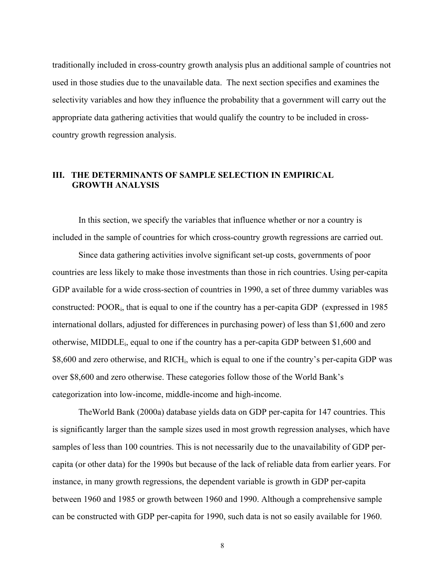traditionally included in cross-country growth analysis plus an additional sample of countries not used in those studies due to the unavailable data. The next section specifies and examines the selectivity variables and how they influence the probability that a government will carry out the appropriate data gathering activities that would qualify the country to be included in crosscountry growth regression analysis.

## **III. THE DETERMINANTS OF SAMPLE SELECTION IN EMPIRICAL GROWTH ANALYSIS**

 In this section, we specify the variables that influence whether or nor a country is included in the sample of countries for which cross-country growth regressions are carried out.

 Since data gathering activities involve significant set-up costs, governments of poor countries are less likely to make those investments than those in rich countries. Using per-capita GDP available for a wide cross-section of countries in 1990, a set of three dummy variables was constructed: POORi, that is equal to one if the country has a per-capita GDP (expressed in 1985 international dollars, adjusted for differences in purchasing power) of less than \$1,600 and zero otherwise, MIDDLE<sub>i</sub>, equal to one if the country has a per-capita GDP between \$1,600 and \$8,600 and zero otherwise, and RICH<sub>i</sub>, which is equal to one if the country's per-capita GDP was over \$8,600 and zero otherwise. These categories follow those of the World Bank's categorization into low-income, middle-income and high-income.

 TheWorld Bank (2000a) database yields data on GDP per-capita for 147 countries. This is significantly larger than the sample sizes used in most growth regression analyses, which have samples of less than 100 countries. This is not necessarily due to the unavailability of GDP percapita (or other data) for the 1990s but because of the lack of reliable data from earlier years. For instance, in many growth regressions, the dependent variable is growth in GDP per-capita between 1960 and 1985 or growth between 1960 and 1990. Although a comprehensive sample can be constructed with GDP per-capita for 1990, such data is not so easily available for 1960.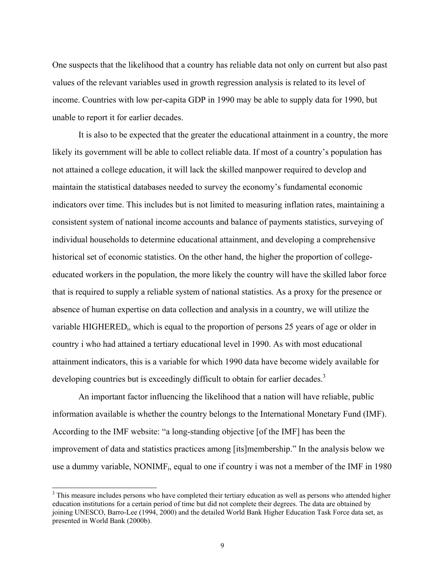One suspects that the likelihood that a country has reliable data not only on current but also past values of the relevant variables used in growth regression analysis is related to its level of income. Countries with low per-capita GDP in 1990 may be able to supply data for 1990, but unable to report it for earlier decades.

It is also to be expected that the greater the educational attainment in a country, the more likely its government will be able to collect reliable data. If most of a country's population has not attained a college education, it will lack the skilled manpower required to develop and maintain the statistical databases needed to survey the economy's fundamental economic indicators over time. This includes but is not limited to measuring inflation rates, maintaining a consistent system of national income accounts and balance of payments statistics, surveying of individual households to determine educational attainment, and developing a comprehensive historical set of economic statistics. On the other hand, the higher the proportion of collegeeducated workers in the population, the more likely the country will have the skilled labor force that is required to supply a reliable system of national statistics. As a proxy for the presence or absence of human expertise on data collection and analysis in a country, we will utilize the variable HIGHERED<sub>i</sub>, which is equal to the proportion of persons 25 years of age or older in country i who had attained a tertiary educational level in 1990. As with most educational attainment indicators, this is a variable for which 1990 data have become widely available for developing countries but is exceedingly difficult to obtain for earlier decades.<sup>3</sup>

 An important factor influencing the likelihood that a nation will have reliable, public information available is whether the country belongs to the International Monetary Fund (IMF). According to the IMF website: "a long-standing objective [of the IMF] has been the improvement of data and statistics practices among [its]membership." In the analysis below we use a dummy variable, NONIMF<sub>i</sub>, equal to one if country i was not a member of the IMF in 1980

 $\overline{a}$ 

 $3$  This measure includes persons who have completed their tertiary education as well as persons who attended higher education institutions for a certain period of time but did not complete their degrees. The data are obtained by joining UNESCO, Barro-Lee (1994, 2000) and the detailed World Bank Higher Education Task Force data set, as presented in World Bank (2000b).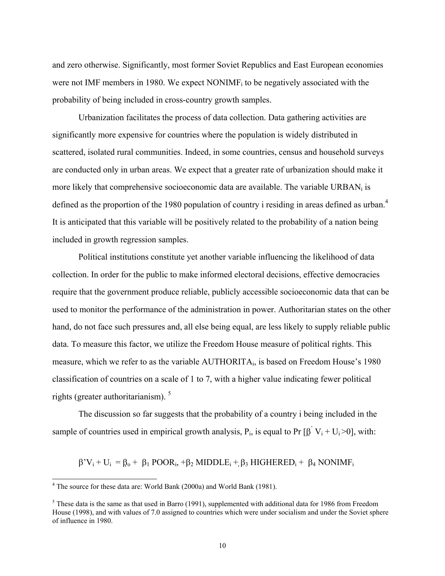and zero otherwise. Significantly, most former Soviet Republics and East European economies were not IMF members in 1980. We expect NONIMFi to be negatively associated with the probability of being included in cross-country growth samples.

 Urbanization facilitates the process of data collection. Data gathering activities are significantly more expensive for countries where the population is widely distributed in scattered, isolated rural communities. Indeed, in some countries, census and household surveys are conducted only in urban areas. We expect that a greater rate of urbanization should make it more likely that comprehensive socioeconomic data are available. The variable  $URBAN_i$  is defined as the proportion of the 1980 population of country i residing in areas defined as urban.<sup>4</sup> It is anticipated that this variable will be positively related to the probability of a nation being included in growth regression samples.

 Political institutions constitute yet another variable influencing the likelihood of data collection. In order for the public to make informed electoral decisions, effective democracies require that the government produce reliable, publicly accessible socioeconomic data that can be used to monitor the performance of the administration in power. Authoritarian states on the other hand, do not face such pressures and, all else being equal, are less likely to supply reliable public data. To measure this factor, we utilize the Freedom House measure of political rights. This measure, which we refer to as the variable AUTHORITA<sub>i</sub>, is based on Freedom House's 1980 classification of countries on a scale of 1 to 7, with a higher value indicating fewer political rights (greater authoritarianism).<sup>5</sup>

 The discussion so far suggests that the probability of a country i being included in the sample of countries used in empirical growth analysis,  $P_i$ , is equal to Pr  $[\beta V_i + U_i > 0]$ , with:

 $\beta'V_i + U_i = \beta_0 + \beta_1 POOR_i$ ,  $+\beta_2 MIDDLE_i + \beta_3 HIGHERED_i + \beta_4 NONIMF_i$ 

 4 The source for these data are: World Bank (2000a) and World Bank (1981).

 $<sup>5</sup>$  These data is the same as that used in Barro (1991), supplemented with additional data for 1986 from Freedom</sup> House (1998), and with values of 7.0 assigned to countries which were under socialism and under the Soviet sphere of influence in 1980.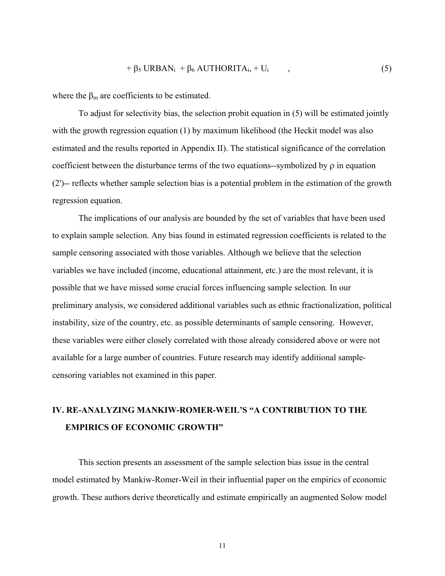$$
+\beta_5 \text{URBAN}_i + \beta_6 \text{AUTHORITA}_i + U_i \tag{5}
$$

where the  $\beta_m$  are coefficients to be estimated.

 To adjust for selectivity bias, the selection probit equation in (5) will be estimated jointly with the growth regression equation (1) by maximum likelihood (the Heckit model was also estimated and the results reported in Appendix II). The statistical significance of the correlation coefficient between the disturbance terms of the two equations--symbolized by  $\rho$  in equation (2')-- reflects whether sample selection bias is a potential problem in the estimation of the growth regression equation.

The implications of our analysis are bounded by the set of variables that have been used to explain sample selection. Any bias found in estimated regression coefficients is related to the sample censoring associated with those variables. Although we believe that the selection variables we have included (income, educational attainment, etc.) are the most relevant, it is possible that we have missed some crucial forces influencing sample selection. In our preliminary analysis, we considered additional variables such as ethnic fractionalization, political instability, size of the country, etc. as possible determinants of sample censoring. However, these variables were either closely correlated with those already considered above or were not available for a large number of countries. Future research may identify additional samplecensoring variables not examined in this paper.

## **IV. RE-ANALYZING MANKIW-ROMER-WEIL'S "A CONTRIBUTION TO THE EMPIRICS OF ECONOMIC GROWTH"**

 This section presents an assessment of the sample selection bias issue in the central model estimated by Mankiw-Romer-Weil in their influential paper on the empirics of economic growth. These authors derive theoretically and estimate empirically an augmented Solow model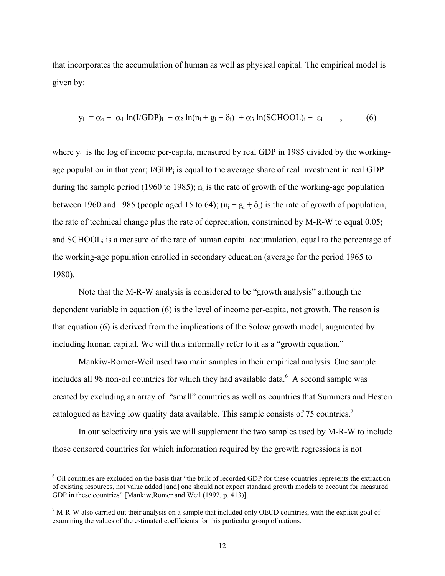that incorporates the accumulation of human as well as physical capital. The empirical model is given by:

$$
y_i = \alpha_o + \alpha_1 \ln(I/GDP)_i + \alpha_2 \ln(n_i + g_i + \delta_i) + \alpha_3 \ln(SCHOOL)_i + \epsilon_i \qquad , \qquad (6)
$$

where  $y_i$  is the log of income per-capita, measured by real GDP in 1985 divided by the workingage population in that year;  $I/GDP_i$  is equal to the average share of real investment in real GDP during the sample period (1960 to 1985);  $n_i$  is the rate of growth of the working-age population between 1960 and 1985 (people aged 15 to 64);  $(n_i + g_i + \delta_i)$  is the rate of growth of population, the rate of technical change plus the rate of depreciation, constrained by M-R-W to equal 0.05; and SCHOOL<sub>i</sub> is a measure of the rate of human capital accumulation, equal to the percentage of the working-age population enrolled in secondary education (average for the period 1965 to 1980).

 Note that the M-R-W analysis is considered to be "growth analysis" although the dependent variable in equation (6) is the level of income per-capita, not growth. The reason is that equation (6) is derived from the implications of the Solow growth model, augmented by including human capital. We will thus informally refer to it as a "growth equation."

Mankiw-Romer-Weil used two main samples in their empirical analysis. One sample includes all 98 non-oil countries for which they had available data.<sup>6</sup> A second sample was created by excluding an array of "small" countries as well as countries that Summers and Heston catalogued as having low quality data available. This sample consists of 75 countries.<sup>7</sup>

 In our selectivity analysis we will supplement the two samples used by M-R-W to include those censored countries for which information required by the growth regressions is not

 $\overline{a}$ 

<sup>&</sup>lt;sup>6</sup> Oil countries are excluded on the basis that "the bulk of recorded GDP for these countries represents the extraction of existing resources, not value added [and] one should not expect standard growth models to account for measured GDP in these countries" [Mankiw,Romer and Weil (1992, p. 413)].

 $<sup>7</sup>$  M-R-W also carried out their analysis on a sample that included only OECD countries, with the explicit goal of</sup> examining the values of the estimated coefficients for this particular group of nations.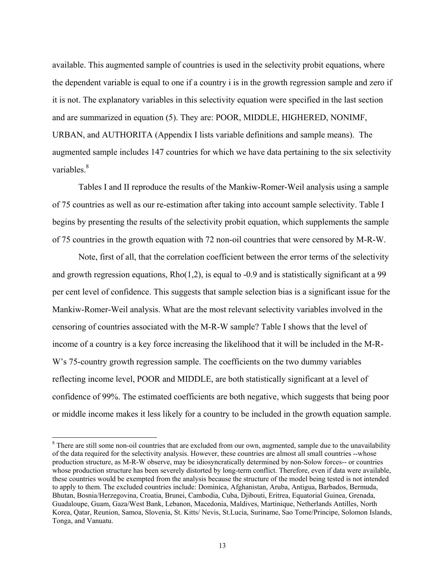available. This augmented sample of countries is used in the selectivity probit equations, where the dependent variable is equal to one if a country i is in the growth regression sample and zero if it is not. The explanatory variables in this selectivity equation were specified in the last section and are summarized in equation (5). They are: POOR, MIDDLE, HIGHERED, NONIMF, URBAN, and AUTHORITA (Appendix I lists variable definitions and sample means). The augmented sample includes 147 countries for which we have data pertaining to the six selectivity variables.<sup>8</sup>

 Tables I and II reproduce the results of the Mankiw-Romer-Weil analysis using a sample of 75 countries as well as our re-estimation after taking into account sample selectivity. Table I begins by presenting the results of the selectivity probit equation, which supplements the sample of 75 countries in the growth equation with 72 non-oil countries that were censored by M-R-W.

 Note, first of all, that the correlation coefficient between the error terms of the selectivity and growth regression equations, Rho(1,2), is equal to -0.9 and is statistically significant at a 99 per cent level of confidence. This suggests that sample selection bias is a significant issue for the Mankiw-Romer-Weil analysis. What are the most relevant selectivity variables involved in the censoring of countries associated with the M-R-W sample? Table I shows that the level of income of a country is a key force increasing the likelihood that it will be included in the M-R-W's 75-country growth regression sample. The coefficients on the two dummy variables reflecting income level, POOR and MIDDLE, are both statistically significant at a level of confidence of 99%. The estimated coefficients are both negative, which suggests that being poor or middle income makes it less likely for a country to be included in the growth equation sample.

 $\overline{a}$ 

 $8$  There are still some non-oil countries that are excluded from our own, augmented, sample due to the unavailability of the data required for the selectivity analysis. However, these countries are almost all small countries --whose production structure, as M-R-W observe, may be idiosyncratically determined by non-Solow forces-- or countries whose production structure has been severely distorted by long-term conflict. Therefore, even if data were available, these countries would be exempted from the analysis because the structure of the model being tested is not intended to apply to them. The excluded countries include: Dominica, Afghanistan, Aruba, Antigua, Barbados, Bermuda, Bhutan, Bosnia/Herzegovina, Croatia, Brunei, Cambodia, Cuba, Djibouti, Eritrea, Equatorial Guinea, Grenada, Guadaloupe, Guam, Gaza/West Bank, Lebanon, Macedonia, Maldives, Martinique, Netherlands Antilles, North Korea, Qatar, Reunion, Samoa, Slovenia, St. Kitts/ Nevis, St.Lucia, Suriname, Sao Tome/Principe, Solomon Islands, Tonga, and Vanuatu.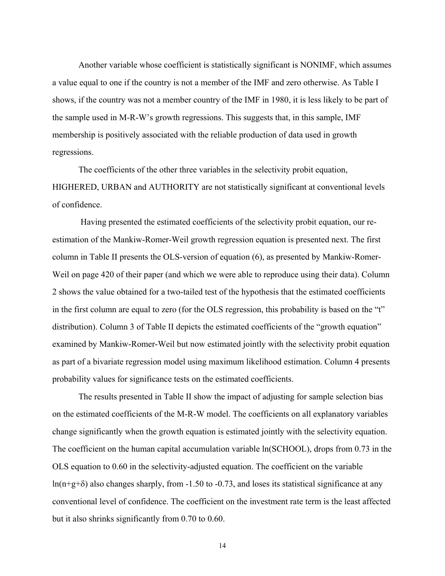Another variable whose coefficient is statistically significant is NONIMF, which assumes a value equal to one if the country is not a member of the IMF and zero otherwise. As Table I shows, if the country was not a member country of the IMF in 1980, it is less likely to be part of the sample used in M-R-W's growth regressions. This suggests that, in this sample, IMF membership is positively associated with the reliable production of data used in growth regressions.

 The coefficients of the other three variables in the selectivity probit equation, HIGHERED, URBAN and AUTHORITY are not statistically significant at conventional levels of confidence.

 Having presented the estimated coefficients of the selectivity probit equation, our reestimation of the Mankiw-Romer-Weil growth regression equation is presented next. The first column in Table II presents the OLS-version of equation (6), as presented by Mankiw-Romer-Weil on page 420 of their paper (and which we were able to reproduce using their data). Column 2 shows the value obtained for a two-tailed test of the hypothesis that the estimated coefficients in the first column are equal to zero (for the OLS regression, this probability is based on the "t" distribution). Column 3 of Table II depicts the estimated coefficients of the "growth equation" examined by Mankiw-Romer-Weil but now estimated jointly with the selectivity probit equation as part of a bivariate regression model using maximum likelihood estimation. Column 4 presents probability values for significance tests on the estimated coefficients.

 The results presented in Table II show the impact of adjusting for sample selection bias on the estimated coefficients of the M-R-W model. The coefficients on all explanatory variables change significantly when the growth equation is estimated jointly with the selectivity equation. The coefficient on the human capital accumulation variable ln(SCHOOL), drops from 0.73 in the OLS equation to 0.60 in the selectivity-adjusted equation. The coefficient on the variable ln(n+g+ $\delta$ ) also changes sharply, from -1.50 to -0.73, and loses its statistical significance at any conventional level of confidence. The coefficient on the investment rate term is the least affected but it also shrinks significantly from 0.70 to 0.60.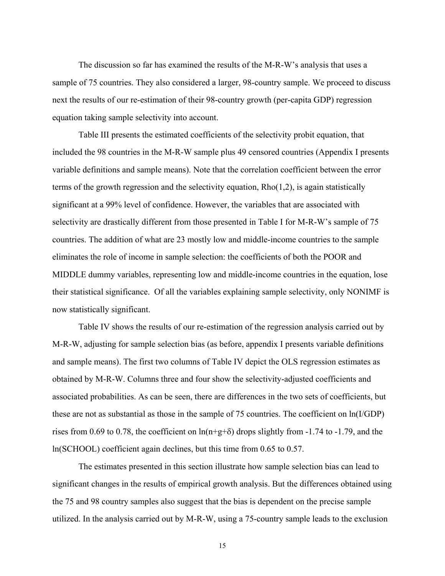The discussion so far has examined the results of the M-R-W's analysis that uses a sample of 75 countries. They also considered a larger, 98-country sample. We proceed to discuss next the results of our re-estimation of their 98-country growth (per-capita GDP) regression equation taking sample selectivity into account.

 Table III presents the estimated coefficients of the selectivity probit equation, that included the 98 countries in the M-R-W sample plus 49 censored countries (Appendix I presents variable definitions and sample means). Note that the correlation coefficient between the error terms of the growth regression and the selectivity equation,  $Rho(1,2)$ , is again statistically significant at a 99% level of confidence. However, the variables that are associated with selectivity are drastically different from those presented in Table I for M-R-W's sample of 75 countries. The addition of what are 23 mostly low and middle-income countries to the sample eliminates the role of income in sample selection: the coefficients of both the POOR and MIDDLE dummy variables, representing low and middle-income countries in the equation, lose their statistical significance. Of all the variables explaining sample selectivity, only NONIMF is now statistically significant.

 Table IV shows the results of our re-estimation of the regression analysis carried out by M-R-W, adjusting for sample selection bias (as before, appendix I presents variable definitions and sample means). The first two columns of Table IV depict the OLS regression estimates as obtained by M-R-W. Columns three and four show the selectivity-adjusted coefficients and associated probabilities. As can be seen, there are differences in the two sets of coefficients, but these are not as substantial as those in the sample of 75 countries. The coefficient on ln(I/GDP) rises from 0.69 to 0.78, the coefficient on  $\ln(n+g+\delta)$  drops slightly from -1.74 to -1.79, and the ln(SCHOOL) coefficient again declines, but this time from 0.65 to 0.57.

 The estimates presented in this section illustrate how sample selection bias can lead to significant changes in the results of empirical growth analysis. But the differences obtained using the 75 and 98 country samples also suggest that the bias is dependent on the precise sample utilized. In the analysis carried out by M-R-W, using a 75-country sample leads to the exclusion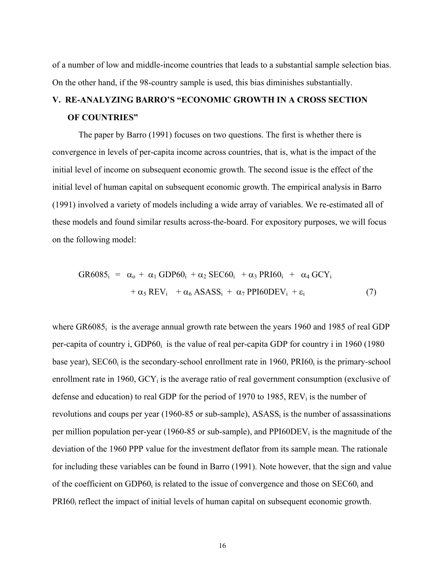of a number of low and middle-income countries that leads to a substantial sample selection bias. On the other hand, if the 98-country sample is used, this bias diminishes substantially.

## **V. RE-ANALYZING BARRO'S "ECONOMIC GROWTH IN A CROSS SECTION OF COUNTRIES"**

 The paper by Barro (1991) focuses on two questions. The first is whether there is convergence in levels of per-capita income across countries, that is, what is the impact of the initial level of income on subsequent economic growth. The second issue is the effect of the initial level of human capital on subsequent economic growth. The empirical analysis in Barro (1991) involved a variety of models including a wide array of variables. We re-estimated all of these models and found similar results across-the-board. For expository purposes, we will focus on the following model:

$$
GR6085i = \alphao + \alpha1 GDP60i + \alpha2 SEC60i + \alpha3 PRI60i + \alpha4 GCYi + \alpha5 REVi + \alpha6 ASASSi + \alpha7 PPI60DEVi + \varepsiloni (7)
$$

where  $GR6085<sub>i</sub>$  is the average annual growth rate between the years 1960 and 1985 of real GDP per-capita of country i,  $GDP60<sub>i</sub>$  is the value of real per-capita GDP for country i in 1960 (1980) base year),  $SEC60<sub>i</sub>$  is the secondary-school enrollment rate in 1960, PRI60 $<sub>i</sub>$  is the primary-school</sub> enrollment rate in 1960,  $GCY_i$  is the average ratio of real government consumption (exclusive of defense and education) to real GDP for the period of 1970 to 1985,  $REV_i$  is the number of revolutions and coups per year (1960-85 or sub-sample),  $ASASS<sub>i</sub>$  is the number of assassinations per million population per-year (1960-85 or sub-sample), and PPI60DEV<sub>i</sub> is the magnitude of the deviation of the 1960 PPP value for the investment deflator from its sample mean. The rationale for including these variables can be found in Barro (1991). Note however, that the sign and value of the coefficient on GDP60 $<sub>i</sub>$  is related to the issue of convergence and those on SEC60 $<sub>i</sub>$  and</sub></sub> PRI60<sub>i</sub> reflect the impact of initial levels of human capital on subsequent economic growth.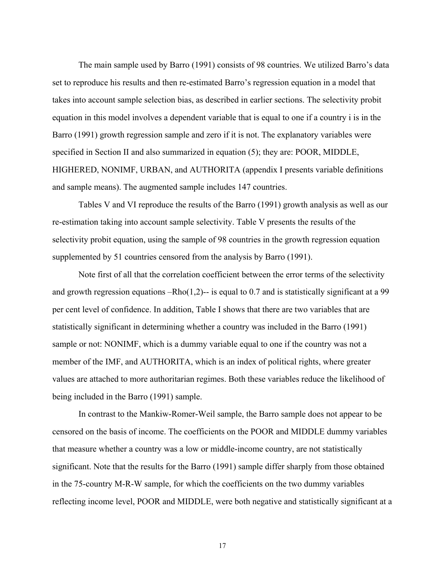The main sample used by Barro (1991) consists of 98 countries. We utilized Barro's data set to reproduce his results and then re-estimated Barro's regression equation in a model that takes into account sample selection bias, as described in earlier sections. The selectivity probit equation in this model involves a dependent variable that is equal to one if a country i is in the Barro (1991) growth regression sample and zero if it is not. The explanatory variables were specified in Section II and also summarized in equation (5); they are: POOR, MIDDLE, HIGHERED, NONIMF, URBAN, and AUTHORITA (appendix I presents variable definitions and sample means). The augmented sample includes 147 countries.

 Tables V and VI reproduce the results of the Barro (1991) growth analysis as well as our re-estimation taking into account sample selectivity. Table V presents the results of the selectivity probit equation, using the sample of 98 countries in the growth regression equation supplemented by 51 countries censored from the analysis by Barro (1991).

 Note first of all that the correlation coefficient between the error terms of the selectivity and growth regression equations –Rho(1,2)-- is equal to 0.7 and is statistically significant at a 99 per cent level of confidence. In addition, Table I shows that there are two variables that are statistically significant in determining whether a country was included in the Barro (1991) sample or not: NONIMF, which is a dummy variable equal to one if the country was not a member of the IMF, and AUTHORITA, which is an index of political rights, where greater values are attached to more authoritarian regimes. Both these variables reduce the likelihood of being included in the Barro (1991) sample.

 In contrast to the Mankiw-Romer-Weil sample, the Barro sample does not appear to be censored on the basis of income. The coefficients on the POOR and MIDDLE dummy variables that measure whether a country was a low or middle-income country, are not statistically significant. Note that the results for the Barro (1991) sample differ sharply from those obtained in the 75-country M-R-W sample, for which the coefficients on the two dummy variables reflecting income level, POOR and MIDDLE, were both negative and statistically significant at a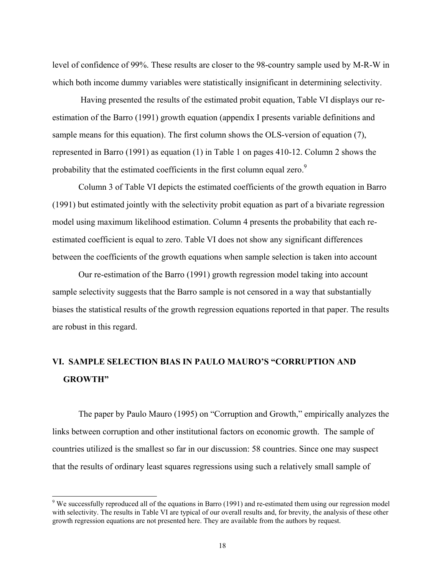level of confidence of 99%. These results are closer to the 98-country sample used by M-R-W in which both income dummy variables were statistically insignificant in determining selectivity.

 Having presented the results of the estimated probit equation, Table VI displays our reestimation of the Barro (1991) growth equation (appendix I presents variable definitions and sample means for this equation). The first column shows the OLS-version of equation (7), represented in Barro (1991) as equation (1) in Table 1 on pages 410-12. Column 2 shows the probability that the estimated coefficients in the first column equal zero.<sup>9</sup>

 Column 3 of Table VI depicts the estimated coefficients of the growth equation in Barro (1991) but estimated jointly with the selectivity probit equation as part of a bivariate regression model using maximum likelihood estimation. Column 4 presents the probability that each reestimated coefficient is equal to zero. Table VI does not show any significant differences between the coefficients of the growth equations when sample selection is taken into account

 Our re-estimation of the Barro (1991) growth regression model taking into account sample selectivity suggests that the Barro sample is not censored in a way that substantially biases the statistical results of the growth regression equations reported in that paper. The results are robust in this regard.

## **VI. SAMPLE SELECTION BIAS IN PAULO MAURO'S "CORRUPTION AND GROWTH"**

 The paper by Paulo Mauro (1995) on "Corruption and Growth," empirically analyzes the links between corruption and other institutional factors on economic growth. The sample of countries utilized is the smallest so far in our discussion: 58 countries. Since one may suspect that the results of ordinary least squares regressions using such a relatively small sample of

l

 $9$  We successfully reproduced all of the equations in Barro (1991) and re-estimated them using our regression model with selectivity. The results in Table VI are typical of our overall results and, for brevity, the analysis of these other growth regression equations are not presented here. They are available from the authors by request.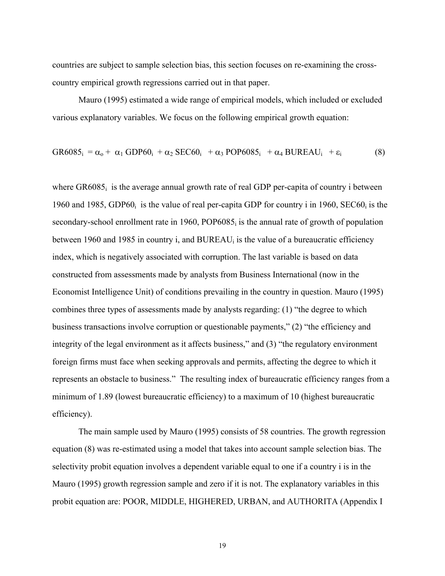countries are subject to sample selection bias, this section focuses on re-examining the crosscountry empirical growth regressions carried out in that paper.

 Mauro (1995) estimated a wide range of empirical models, which included or excluded various explanatory variables. We focus on the following empirical growth equation:

$$
GR6085i = \alpha_0 + \alpha_1 GDP60i + \alpha_2 SEC60i + \alpha_3 POP6085i + \alpha_4 BUREAUi + \varepsilon_i
$$
 (8)

where  $GR6085<sub>i</sub>$  is the average annual growth rate of real GDP per-capita of country i between 1960 and 1985, GDP60 $_i$  is the value of real per-capita GDP for country i in 1960, SEC60 $_i$  is the secondary-school enrollment rate in 1960, POP6085 $<sub>i</sub>$  is the annual rate of growth of population</sub> between 1960 and 1985 in country i, and BUREAU<sub>i</sub> is the value of a bureaucratic efficiency index, which is negatively associated with corruption. The last variable is based on data constructed from assessments made by analysts from Business International (now in the Economist Intelligence Unit) of conditions prevailing in the country in question. Mauro (1995) combines three types of assessments made by analysts regarding: (1) "the degree to which business transactions involve corruption or questionable payments," (2) "the efficiency and integrity of the legal environment as it affects business," and (3) "the regulatory environment foreign firms must face when seeking approvals and permits, affecting the degree to which it represents an obstacle to business." The resulting index of bureaucratic efficiency ranges from a minimum of 1.89 (lowest bureaucratic efficiency) to a maximum of 10 (highest bureaucratic efficiency).

 The main sample used by Mauro (1995) consists of 58 countries. The growth regression equation (8) was re-estimated using a model that takes into account sample selection bias. The selectivity probit equation involves a dependent variable equal to one if a country i is in the Mauro (1995) growth regression sample and zero if it is not. The explanatory variables in this probit equation are: POOR, MIDDLE, HIGHERED, URBAN, and AUTHORITA (Appendix I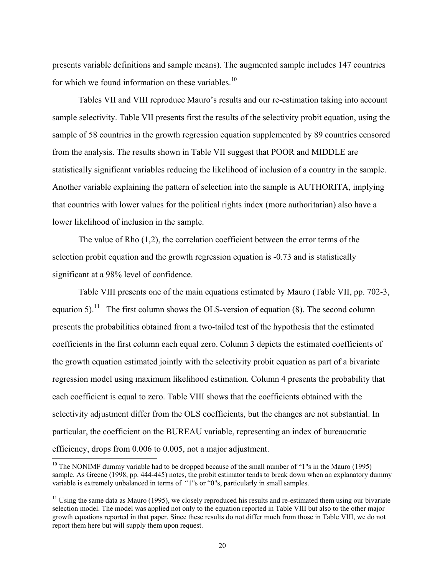presents variable definitions and sample means). The augmented sample includes 147 countries for which we found information on these variables.<sup>10</sup>

 Tables VII and VIII reproduce Mauro's results and our re-estimation taking into account sample selectivity. Table VII presents first the results of the selectivity probit equation, using the sample of 58 countries in the growth regression equation supplemented by 89 countries censored from the analysis. The results shown in Table VII suggest that POOR and MIDDLE are statistically significant variables reducing the likelihood of inclusion of a country in the sample. Another variable explaining the pattern of selection into the sample is AUTHORITA, implying that countries with lower values for the political rights index (more authoritarian) also have a lower likelihood of inclusion in the sample.

 The value of Rho (1,2), the correlation coefficient between the error terms of the selection probit equation and the growth regression equation is -0.73 and is statistically significant at a 98% level of confidence.

 Table VIII presents one of the main equations estimated by Mauro (Table VII, pp. 702-3, equation 5).<sup>11</sup> The first column shows the OLS-version of equation (8). The second column presents the probabilities obtained from a two-tailed test of the hypothesis that the estimated coefficients in the first column each equal zero. Column 3 depicts the estimated coefficients of the growth equation estimated jointly with the selectivity probit equation as part of a bivariate regression model using maximum likelihood estimation. Column 4 presents the probability that each coefficient is equal to zero. Table VIII shows that the coefficients obtained with the selectivity adjustment differ from the OLS coefficients, but the changes are not substantial. In particular, the coefficient on the BUREAU variable, representing an index of bureaucratic efficiency, drops from 0.006 to 0.005, not a major adjustment.

 $\overline{a}$ 

<sup>&</sup>lt;sup>10</sup> The NONIMF dummy variable had to be dropped because of the small number of "1"s in the Mauro (1995) sample. As Greene (1998, pp. 444-445) notes, the probit estimator tends to break down when an explanatory dummy variable is extremely unbalanced in terms of "1"s or "0"s, particularly in small samples.

 $11$  Using the same data as Mauro (1995), we closely reproduced his results and re-estimated them using our bivariate selection model. The model was applied not only to the equation reported in Table VIII but also to the other major growth equations reported in that paper. Since these results do not differ much from those in Table VIII, we do not report them here but will supply them upon request.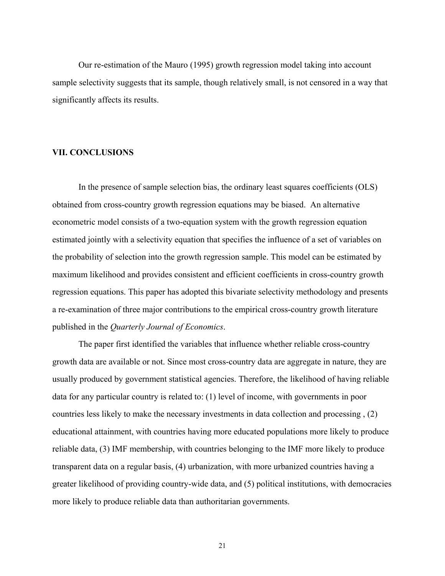Our re-estimation of the Mauro (1995) growth regression model taking into account sample selectivity suggests that its sample, though relatively small, is not censored in a way that significantly affects its results.

## **VII. CONCLUSIONS**

 In the presence of sample selection bias, the ordinary least squares coefficients (OLS) obtained from cross-country growth regression equations may be biased. An alternative econometric model consists of a two-equation system with the growth regression equation estimated jointly with a selectivity equation that specifies the influence of a set of variables on the probability of selection into the growth regression sample. This model can be estimated by maximum likelihood and provides consistent and efficient coefficients in cross-country growth regression equations. This paper has adopted this bivariate selectivity methodology and presents a re-examination of three major contributions to the empirical cross-country growth literature published in the *Quarterly Journal of Economics*.

 The paper first identified the variables that influence whether reliable cross-country growth data are available or not. Since most cross-country data are aggregate in nature, they are usually produced by government statistical agencies. Therefore, the likelihood of having reliable data for any particular country is related to: (1) level of income, with governments in poor countries less likely to make the necessary investments in data collection and processing , (2) educational attainment, with countries having more educated populations more likely to produce reliable data, (3) IMF membership, with countries belonging to the IMF more likely to produce transparent data on a regular basis, (4) urbanization, with more urbanized countries having a greater likelihood of providing country-wide data, and (5) political institutions, with democracies more likely to produce reliable data than authoritarian governments.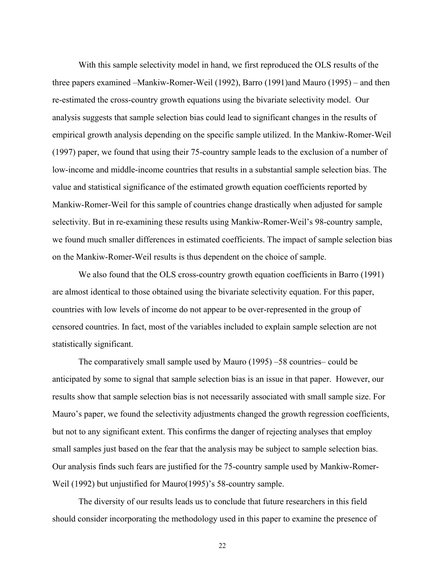With this sample selectivity model in hand, we first reproduced the OLS results of the three papers examined –Mankiw-Romer-Weil (1992), Barro (1991)and Mauro (1995) – and then re-estimated the cross-country growth equations using the bivariate selectivity model. Our analysis suggests that sample selection bias could lead to significant changes in the results of empirical growth analysis depending on the specific sample utilized. In the Mankiw-Romer-Weil (1997) paper, we found that using their 75-country sample leads to the exclusion of a number of low-income and middle-income countries that results in a substantial sample selection bias. The value and statistical significance of the estimated growth equation coefficients reported by Mankiw-Romer-Weil for this sample of countries change drastically when adjusted for sample selectivity. But in re-examining these results using Mankiw-Romer-Weil's 98-country sample, we found much smaller differences in estimated coefficients. The impact of sample selection bias on the Mankiw-Romer-Weil results is thus dependent on the choice of sample.

 We also found that the OLS cross-country growth equation coefficients in Barro (1991) are almost identical to those obtained using the bivariate selectivity equation. For this paper, countries with low levels of income do not appear to be over-represented in the group of censored countries. In fact, most of the variables included to explain sample selection are not statistically significant.

 The comparatively small sample used by Mauro (1995) –58 countries– could be anticipated by some to signal that sample selection bias is an issue in that paper. However, our results show that sample selection bias is not necessarily associated with small sample size. For Mauro's paper, we found the selectivity adjustments changed the growth regression coefficients, but not to any significant extent. This confirms the danger of rejecting analyses that employ small samples just based on the fear that the analysis may be subject to sample selection bias. Our analysis finds such fears are justified for the 75-country sample used by Mankiw-Romer-Weil (1992) but unjustified for Mauro(1995)'s 58-country sample.

The diversity of our results leads us to conclude that future researchers in this field should consider incorporating the methodology used in this paper to examine the presence of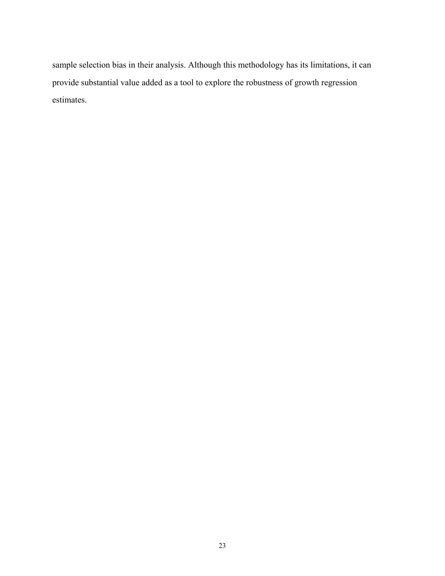sample selection bias in their analysis. Although this methodology has its limitations, it can provide substantial value added as a tool to explore the robustness of growth regression estimates.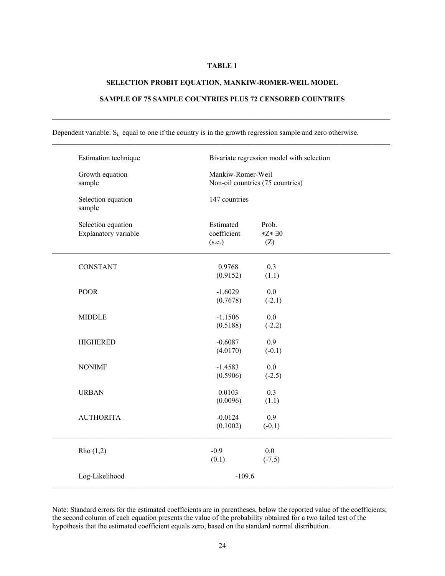## **TABLE 1**

## **SELECTION PROBIT EQUATION, MANKIW-ROMER-WEIL MODEL**

## **SAMPLE OF 75 SAMPLE COUNTRIES PLUS 72 CENSORED COUNTRIES**

Dependent variable:  $S_i$  equal to one if the country is in the growth regression sample and zero otherwise.

| Estimation technique         | Bivariate regression model with selection             |          |
|------------------------------|-------------------------------------------------------|----------|
| Growth equation<br>sample    | Mankiw-Romer-Weil<br>Non-oil countries (75 countries) |          |
| Selection equation<br>sample | 147 countries                                         |          |
| Selection equation           | Estimated                                             | Prob.    |
| Explanatory variable         | coefficient                                           | *Z* 30   |
|                              | (s.e.)                                                | (Z)      |
| <b>CONSTANT</b>              | 0.9768                                                | 0.3      |
|                              | (0.9152)                                              | (1.1)    |
| <b>POOR</b>                  | $-1.6029$                                             | 0.0      |
|                              | (0.7678)                                              | $(-2.1)$ |
| <b>MIDDLE</b>                | $-1.1506$                                             | 0.0      |
|                              | (0.5188)                                              | $(-2.2)$ |
| <b>HIGHERED</b>              | $-0.6087$                                             | 0.9      |
|                              | (4.0170)                                              | $(-0.1)$ |
| <b>NONIMF</b>                | $-1.4583$                                             | 0.0      |
|                              | (0.5906)                                              | $(-2.5)$ |
| <b>URBAN</b>                 | 0.0103                                                | 0.3      |
|                              | (0.0096)                                              | (1.1)    |
| <b>AUTHORITA</b>             | $-0.0124$                                             | 0.9      |
|                              | (0.1002)                                              | $(-0.1)$ |
| Rho $(1,2)$                  | $-0.9$                                                | 0.0      |
|                              | (0.1)                                                 | $(-7.5)$ |
| Log-Likelihood               | $-109.6$                                              |          |

Note: Standard errors for the estimated coefficients are in parentheses, below the reported value of the coefficients; the second column of each equation presents the value of the probability obtained for a two tailed test of the hypothesis that the estimated coefficient equals zero, based on the standard normal distribution.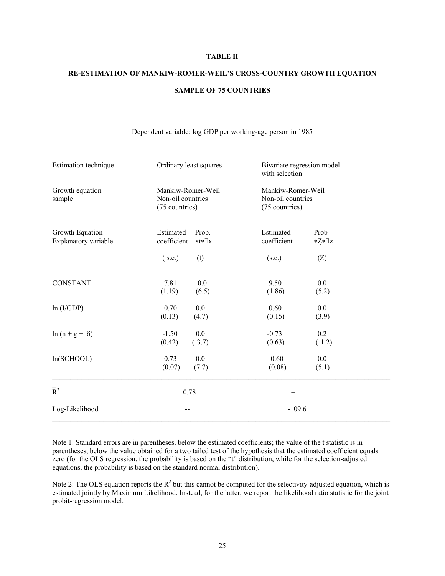## **TABLE II**

#### **RE-ESTIMATION OF MANKIW-ROMER-WEIL'S CROSS-COUNTRY GROWTH EQUATION**

#### **SAMPLE OF 75 COUNTRIES**

| Dependent variable: log GDP per working-age person in 1985 |                                                          |                                                          |  |  |
|------------------------------------------------------------|----------------------------------------------------------|----------------------------------------------------------|--|--|
| Estimation technique                                       | Ordinary least squares                                   | Bivariate regression model<br>with selection             |  |  |
| Growth equation<br>sample                                  | Mankiw-Romer-Weil<br>Non-oil countries<br>(75 countries) | Mankiw-Romer-Weil<br>Non-oil countries<br>(75 countries) |  |  |
| Growth Equation<br>Explanatory variable                    | Estimated<br>Prob.<br>coefficient<br>$*t*\exists x$      | Estimated<br>Prob<br>coefficient<br>*Z*3z                |  |  |
|                                                            | (s.e.)<br>(t)                                            | (s.e.)<br>(Z)                                            |  |  |
| <b>CONSTANT</b>                                            | 7.81<br>0.0<br>(1.19)<br>(6.5)                           | 9.50<br>0.0<br>(1.86)<br>(5.2)                           |  |  |
| ln (I/GDP)                                                 | 0.70<br>0.0<br>(0.13)<br>(4.7)                           | 0.60<br>0.0<br>(0.15)<br>(3.9)                           |  |  |
| $ln (n+g+ \delta)$                                         | 0.0<br>$-1.50$<br>(0.42)<br>$(-3.7)$                     | 0.2<br>$-0.73$<br>(0.63)<br>$(-1.2)$                     |  |  |
| ln(SCHOOL)                                                 | 0.73<br>0.0<br>(0.07)<br>(7.7)                           | 0.60<br>0.0<br>(0.08)<br>(5.1)                           |  |  |
| $\overline{R}^2$                                           | 0.78                                                     |                                                          |  |  |
| Log-Likelihood                                             |                                                          | $-109.6$                                                 |  |  |

Note 1: Standard errors are in parentheses, below the estimated coefficients; the value of the t statistic is in parentheses, below the value obtained for a two tailed test of the hypothesis that the estimated coefficient equals zero (for the OLS regression, the probability is based on the "t" distribution, while for the selection-adjusted equations, the probability is based on the standard normal distribution).

Note 2: The OLS equation reports the  $R^2$  but this cannot be computed for the selectivity-adjusted equation, which is estimated jointly by Maximum Likelihood. Instead, for the latter, we report the likelihood ratio statistic for the joint probit-regression model.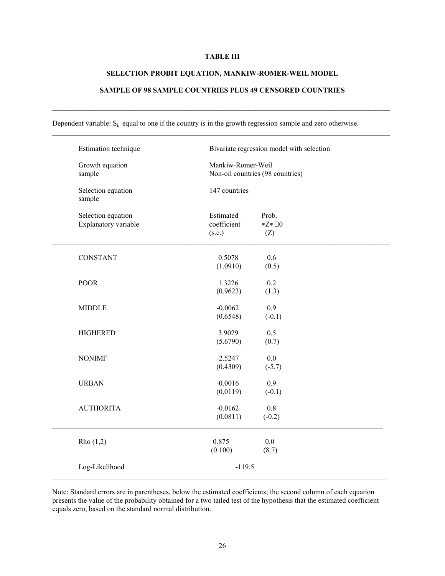### **TABLE III**

#### **SELECTION PROBIT EQUATION, MANKIW-ROMER-WEIL MODEL**

## **SAMPLE OF 98 SAMPLE COUNTRIES PLUS 49 CENSORED COUNTRIES**

 $\_$  , and the state of the state of the state of the state of the state of the state of the state of the state of the state of the state of the state of the state of the state of the state of the state of the state of the

 $\mathcal{L}_\mathcal{L} = \{ \mathcal{L}_\mathcal{L} = \{ \mathcal{L}_\mathcal{L} = \{ \mathcal{L}_\mathcal{L} = \{ \mathcal{L}_\mathcal{L} = \{ \mathcal{L}_\mathcal{L} = \{ \mathcal{L}_\mathcal{L} = \{ \mathcal{L}_\mathcal{L} = \{ \mathcal{L}_\mathcal{L} = \{ \mathcal{L}_\mathcal{L} = \{ \mathcal{L}_\mathcal{L} = \{ \mathcal{L}_\mathcal{L} = \{ \mathcal{L}_\mathcal{L} = \{ \mathcal{L}_\mathcal{L} = \{ \mathcal{L}_\mathcal{$ 

Dependent variable:  $S_i$  equal to one if the country is in the growth regression sample and zero otherwise.

| Estimation technique                       |                                    | Bivariate regression model with selection |
|--------------------------------------------|------------------------------------|-------------------------------------------|
| Growth equation<br>sample                  | Mankiw-Romer-Weil                  | Non-oil countries (98 countries)          |
| Selection equation<br>sample               | 147 countries                      |                                           |
| Selection equation<br>Explanatory variable | Estimated<br>coefficient<br>(s.e.) | Prob.<br>*Z* ∃0<br>(Z)                    |
| <b>CONSTANT</b>                            | 0.5078<br>(1.0910)                 | 0.6<br>(0.5)                              |
| <b>POOR</b>                                | 1.3226<br>(0.9623)                 | 0.2<br>(1.3)                              |
| <b>MIDDLE</b>                              | $-0.0062$<br>(0.6548)              | 0.9<br>$(-0.1)$                           |
| <b>HIGHERED</b>                            | 3.9029<br>(5.6790)                 | 0.5<br>(0.7)                              |
| <b>NONIMF</b>                              | $-2.5247$<br>(0.4309)              | 0.0<br>$(-5.7)$                           |
| <b>URBAN</b>                               | $-0.0016$<br>(0.0119)              | 0.9<br>$(-0.1)$                           |
| <b>AUTHORITA</b>                           | $-0.0162$<br>(0.0811)              | 0.8<br>$(-0.2)$                           |
| Rho $(1,2)$                                | 0.875<br>(0.100)                   | 0.0<br>(8.7)                              |
| Log-Likelihood                             | $-119.5$                           |                                           |

Note: Standard errors are in parentheses, below the estimated coefficients; the second column of each equation presents the value of the probability obtained for a two tailed test of the hypothesis that the estimated coefficient equals zero, based on the standard normal distribution.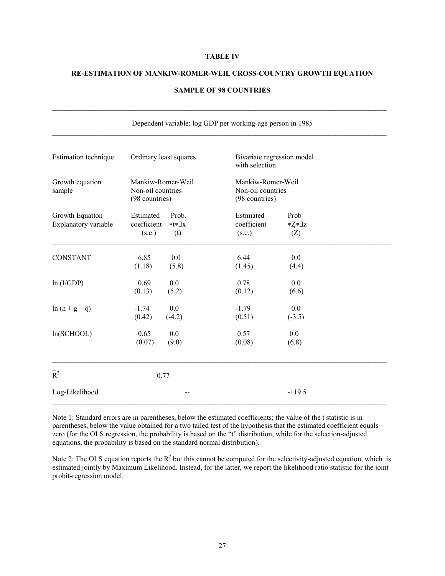#### **TABLE IV**

#### **RE-ESTIMATION OF MANKIW-ROMER-WEIL CROSS-COUNTRY GROWTH EQUATION**

|                                         | Dependent variable: log GDP per working-age person in 1985 |                        |                                                          |                      |  |
|-----------------------------------------|------------------------------------------------------------|------------------------|----------------------------------------------------------|----------------------|--|
| Estimation technique                    |                                                            | Ordinary least squares | Bivariate regression model<br>with selection             |                      |  |
| Growth equation<br>sample               | Non-oil countries<br>(98 countries)                        | Mankiw-Romer-Weil      | Mankiw-Romer-Weil<br>Non-oil countries<br>(98 countries) |                      |  |
| Growth Equation<br>Explanatory variable | Estimated<br>coefficient<br>(s.e.)                         | Prob.<br>*t*∃x<br>(t)  | Estimated<br>coefficient<br>(s.e.)                       | Prob<br>*Z*3z<br>(Z) |  |
| <b>CONSTANT</b>                         | 6.85<br>(1.18)                                             | 0.0<br>(5.8)           | 6.44<br>(1.45)                                           | 0.0<br>(4.4)         |  |
| ln(I/GDP)                               | 0.69<br>(0.13)                                             | 0.0<br>(5.2)           | 0.78<br>(0.12)                                           | 0.0<br>(6.6)         |  |
| $ln (n + g + \delta)$                   | $-1.74$<br>(0.42)                                          | 0.0<br>$(-4.2)$        | $-1.79$<br>(0.51)                                        | 0.0<br>$(-3.5)$      |  |
| ln(SCHOOL)                              | 0.65<br>(0.07)                                             | 0.0<br>(9.0)           | 0.57<br>(0.08)                                           | 0.0<br>(6.8)         |  |
| $\overline{R}^2$                        |                                                            | 0.77                   |                                                          |                      |  |
| Log-Likelihood                          |                                                            |                        |                                                          | $-119.5$             |  |

#### **SAMPLE OF 98 COUNTRIES**

 $\_$  , and the state of the state of the state of the state of the state of the state of the state of the state of the state of the state of the state of the state of the state of the state of the state of the state of the

Note 1: Standard errors are in parentheses, below the estimated coefficients; the value of the t statistic is in parentheses, below the value obtained for a two tailed test of the hypothesis that the estimated coefficient equals zero (for the OLS regression, the probability is based on the "t" distribution, while for the selection-adjusted equations, the probability is based on the standard normal distribution).

Note 2: The OLS equation reports the  $R^2$  but this cannot be computed for the selectivity-adjusted equation, which is estimated jointly by Maximum Likelihood. Instead, for the latter, we report the likelihood ratio statistic for the joint probit-regression model.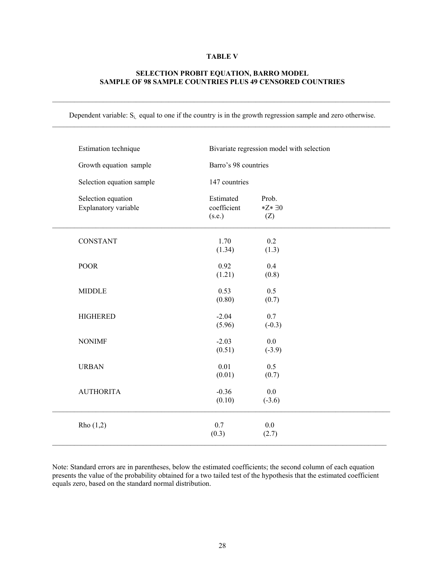## **TABLE V**

#### **SELECTION PROBIT EQUATION, BARRO MODEL SAMPLE OF 98 SAMPLE COUNTRIES PLUS 49 CENSORED COUNTRIES**

Dependent variable:  $S_{i}$ , equal to one if the country is in the growth regression sample and zero otherwise.

| Estimation technique                       |                                    | Bivariate regression model with selection |
|--------------------------------------------|------------------------------------|-------------------------------------------|
| Growth equation sample                     | Barro's 98 countries               |                                           |
| Selection equation sample                  | 147 countries                      |                                           |
| Selection equation<br>Explanatory variable | Estimated<br>coefficient<br>(s.e.) | Prob.<br>*Z* 30<br>(Z)                    |
| <b>CONSTANT</b>                            | 1.70<br>(1.34)                     | 0.2<br>(1.3)                              |
| <b>POOR</b>                                | 0.92<br>(1.21)                     | 0.4<br>(0.8)                              |
| <b>MIDDLE</b>                              | 0.53<br>(0.80)                     | 0.5<br>(0.7)                              |
| <b>HIGHERED</b>                            | $-2.04$<br>(5.96)                  | 0.7<br>$(-0.3)$                           |
| <b>NONIMF</b>                              | $-2.03$<br>(0.51)                  | 0.0<br>$(-3.9)$                           |
| <b>URBAN</b>                               | 0.01<br>(0.01)                     | 0.5<br>(0.7)                              |
| <b>AUTHORITA</b>                           | $-0.36$<br>(0.10)                  | 0.0<br>$(-3.6)$                           |
| Rho $(1,2)$                                | 0.7<br>(0.3)                       | 0.0<br>(2.7)                              |

Note: Standard errors are in parentheses, below the estimated coefficients; the second column of each equation presents the value of the probability obtained for a two tailed test of the hypothesis that the estimated coefficient equals zero, based on the standard normal distribution.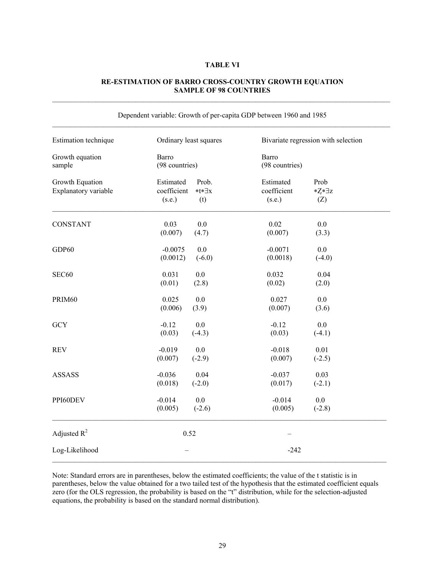#### **TABLE VI**

## **RE-ESTIMATION OF BARRO CROSS-COUNTRY GROWTH EQUATION SAMPLE OF 98 COUNTRIES**

| Estimation technique                    | Ordinary least squares                                      |                                    | Bivariate regression with selection |
|-----------------------------------------|-------------------------------------------------------------|------------------------------------|-------------------------------------|
| Growth equation<br>sample               | Barro<br>(98 countries)                                     | Barro<br>(98 countries)            |                                     |
| Growth Equation<br>Explanatory variable | Estimated<br>Prob.<br>coefficient<br>*t*∃x<br>(s.e.)<br>(t) | Estimated<br>coefficient<br>(s.e.) | Prob<br>*Z*3z<br>(Z)                |
| <b>CONSTANT</b>                         | 0.03<br>$0.0\,$<br>(0.007)<br>(4.7)                         | 0.02<br>(0.007)                    | 0.0<br>(3.3)                        |
| GDP60                                   | $-0.0075$<br>0.0<br>(0.0012)<br>$(-6.0)$                    | $-0.0071$<br>(0.0018)              | 0.0<br>$(-4.0)$                     |
| SEC60                                   | 0.031<br>0.0<br>(0.01)<br>(2.8)                             | 0.032<br>(0.02)                    | 0.04<br>(2.0)                       |
| PRIM60                                  | 0.025<br>0.0<br>(0.006)<br>(3.9)                            | 0.027<br>(0.007)                   | 0.0<br>(3.6)                        |
| <b>GCY</b>                              | 0.0<br>$-0.12$<br>(0.03)<br>$(-4.3)$                        | $-0.12$<br>(0.03)                  | 0.0<br>$(-4.1)$                     |
| <b>REV</b>                              | $-0.019$<br>0.0<br>(0.007)<br>$(-2.9)$                      | $-0.018$<br>(0.007)                | 0.01<br>$(-2.5)$                    |
| <b>ASSASS</b>                           | $-0.036$<br>0.04<br>(0.018)<br>$(-2.0)$                     | $-0.037$<br>(0.017)                | 0.03<br>$(-2.1)$                    |
| PPI60DEV                                | $-0.014$<br>0.0<br>(0.005)<br>$(-2.6)$                      | $-0.014$<br>(0.005)                | 0.0<br>$(-2.8)$                     |
| Adjusted $R^2$                          | 0.52                                                        |                                    |                                     |
| Log-Likelihood                          |                                                             | $-242$                             |                                     |

Dependent variable: Growth of per-capita GDP between 1960 and 1985

Note: Standard errors are in parentheses, below the estimated coefficients; the value of the t statistic is in parentheses, below the value obtained for a two tailed test of the hypothesis that the estimated coefficient equals zero (for the OLS regression, the probability is based on the "t" distribution, while for the selection-adjusted equations, the probability is based on the standard normal distribution).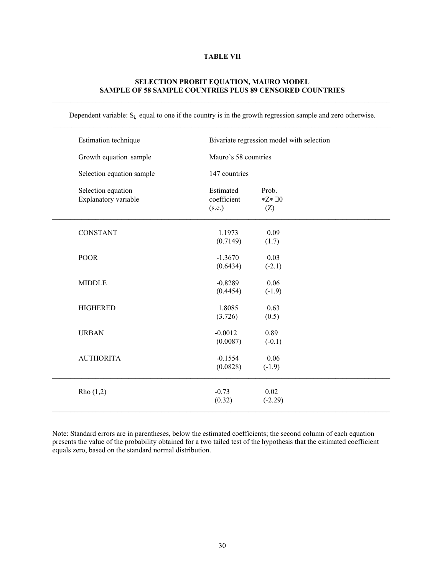## **TABLE VII**

#### **SELECTION PROBIT EQUATION, MAURO MODEL SAMPLE OF 58 SAMPLE COUNTRIES PLUS 89 CENSORED COUNTRIES**

Dependent variable:  $S_{i}$ , equal to one if the country is in the growth regression sample and zero otherwise.

| Estimation technique                       | Bivariate regression model with selection |                        |
|--------------------------------------------|-------------------------------------------|------------------------|
| Growth equation sample                     | Mauro's 58 countries                      |                        |
| Selection equation sample                  | 147 countries                             |                        |
| Selection equation<br>Explanatory variable | Estimated<br>coefficient<br>(s.e.)        | Prob.<br>*Z* ∃0<br>(Z) |
| <b>CONSTANT</b>                            | 1.1973<br>(0.7149)                        | 0.09<br>(1.7)          |
| <b>POOR</b>                                | $-1.3670$<br>(0.6434)                     | 0.03<br>$(-2.1)$       |
| <b>MIDDLE</b>                              | $-0.8289$<br>(0.4454)                     | 0.06<br>$(-1.9)$       |
| <b>HIGHERED</b>                            | 1.8085<br>(3.726)                         | 0.63<br>(0.5)          |
| <b>URBAN</b>                               | $-0.0012$<br>(0.0087)                     | 0.89<br>$(-0.1)$       |
| <b>AUTHORITA</b>                           | $-0.1554$<br>(0.0828)                     | 0.06<br>$(-1.9)$       |
| Rho $(1,2)$                                | $-0.73$<br>(0.32)                         | 0.02<br>$(-2.29)$      |
|                                            |                                           |                        |

Note: Standard errors are in parentheses, below the estimated coefficients; the second column of each equation presents the value of the probability obtained for a two tailed test of the hypothesis that the estimated coefficient equals zero, based on the standard normal distribution.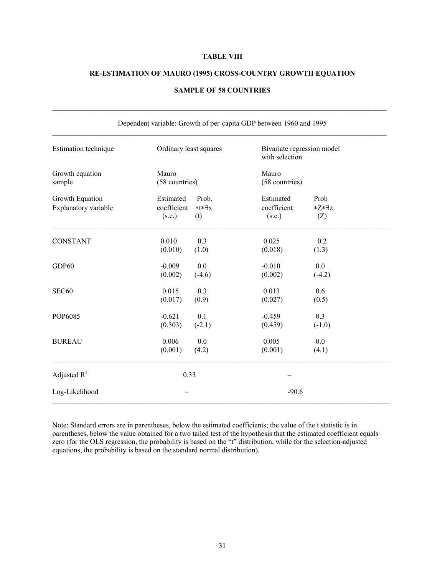#### **TABLE VIII**

#### **RE-ESTIMATION OF MAURO (1995) CROSS-COUNTRY GROWTH EQUATION**

## **SAMPLE OF 58 COUNTRIES**

 $\_$  , and the state of the state of the state of the state of the state of the state of the state of the state of the state of the state of the state of the state of the state of the state of the state of the state of the

| Estimation technique                    |                                    | Bivariate regression model |                                    |                      |
|-----------------------------------------|------------------------------------|----------------------------|------------------------------------|----------------------|
| Ordinary least squares                  |                                    | with selection             |                                    |                      |
| Growth equation<br>sample               | Mauro<br>(58 countries)            |                            | Mauro<br>(58 countries)            |                      |
| Growth Equation<br>Explanatory variable | Estimated<br>coefficient<br>(s.e.) | Prob.<br>*t*∃x<br>(t)      | Estimated<br>coefficient<br>(s.e.) | Prob<br>*Z*∃z<br>(Z) |
| <b>CONSTANT</b>                         | 0.010                              | 0.3                        | 0.025                              | 0.2                  |
|                                         | (0.010)                            | (1.0)                      | (0.018)                            | (1.3)                |
| GDP60                                   | $-0.009$                           | 0.0                        | $-0.010$                           | 0.0                  |
|                                         | (0.002)                            | $(-4.6)$                   | (0.002)                            | $(-4.2)$             |
| SEC60                                   | 0.015                              | 0.3                        | 0.013                              | 0.6                  |
|                                         | (0.017)                            | (0.9)                      | (0.027)                            | (0.5)                |
| POP6085                                 | $-0.621$                           | 0.1                        | $-0.459$                           | 0.3                  |
|                                         | (0.303)                            | $(-2.1)$                   | (0.459)                            | $(-1.0)$             |
| <b>BUREAU</b>                           | 0.006                              | 0.0                        | 0.005                              | 0.0                  |
|                                         | (0.001)                            | (4.2)                      | (0.001)                            | (4.1)                |
| Adjusted $R^2$                          | 0.33                               |                            |                                    |                      |
| Log-Likelihood                          |                                    |                            | $-90.6$                            |                      |

Note: Standard errors are in parentheses, below the estimated coefficients; the value of the t statistic is in parentheses, below the value obtained for a two tailed test of the hypothesis that the estimated coefficient equals zero (for the OLS regression, the probability is based on the "t" distribution, while for the selection-adjusted equations, the probability is based on the standard normal distribution).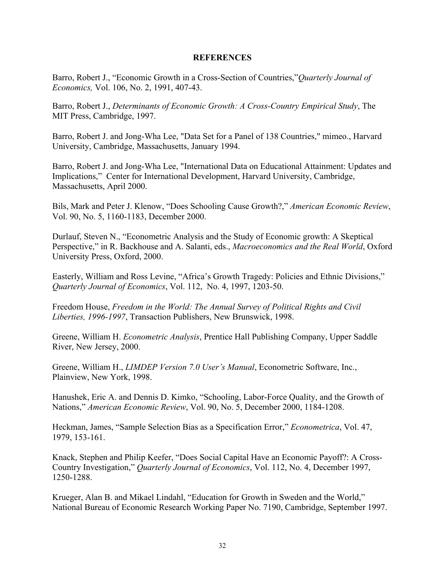## **REFERENCES**

Barro, Robert J., "Economic Growth in a Cross-Section of Countries,"*Quarterly Journal of Economics,* Vol. 106, No. 2, 1991, 407-43.

Barro, Robert J., *Determinants of Economic Growth: A Cross-Country Empirical Study*, The MIT Press, Cambridge, 1997.

Barro, Robert J. and Jong-Wha Lee, "Data Set for a Panel of 138 Countries," mimeo., Harvard University, Cambridge, Massachusetts, January 1994.

Barro, Robert J. and Jong-Wha Lee, "International Data on Educational Attainment: Updates and Implications," Center for International Development, Harvard University, Cambridge, Massachusetts, April 2000.

Bils, Mark and Peter J. Klenow, "Does Schooling Cause Growth?," *American Economic Review*, Vol. 90, No. 5, 1160-1183, December 2000.

Durlauf, Steven N., "Econometric Analysis and the Study of Economic growth: A Skeptical Perspective," in R. Backhouse and A. Salanti, eds., *Macroeconomics and the Real World*, Oxford University Press, Oxford, 2000.

Easterly, William and Ross Levine, "Africa's Growth Tragedy: Policies and Ethnic Divisions," *Quarterly Journal of Economics*, Vol. 112, No. 4, 1997, 1203-50.

Freedom House, *Freedom in the World: The Annual Survey of Political Rights and Civil Liberties, 1996-1997*, Transaction Publishers, New Brunswick, 1998.

Greene, William H. *Econometric Analysis*, Prentice Hall Publishing Company, Upper Saddle River, New Jersey, 2000.

Greene, William H., *LIMDEP Version 7.0 User's Manual*, Econometric Software, Inc., Plainview, New York, 1998.

Hanushek, Eric A. and Dennis D. Kimko, "Schooling, Labor-Force Quality, and the Growth of Nations," *American Economic Review*, Vol. 90, No. 5, December 2000, 1184-1208.

Heckman, James, "Sample Selection Bias as a Specification Error," *Econometrica*, Vol. 47, 1979, 153-161.

Knack, Stephen and Philip Keefer, "Does Social Capital Have an Economic Payoff?: A Cross-Country Investigation," *Quarterly Journal of Economics*, Vol. 112, No. 4, December 1997, 1250-1288.

Krueger, Alan B. and Mikael Lindahl, "Education for Growth in Sweden and the World," National Bureau of Economic Research Working Paper No. 7190, Cambridge, September 1997.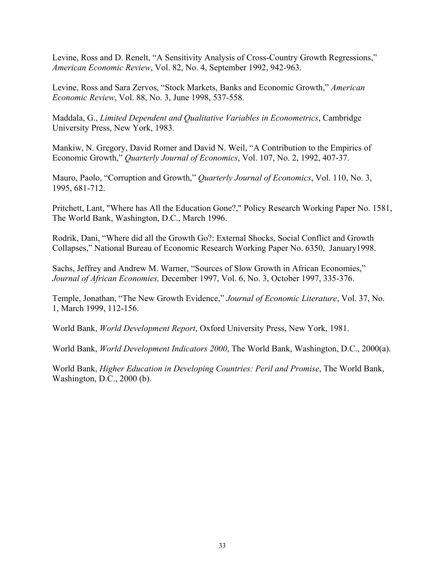Levine, Ross and D. Renelt, "A Sensitivity Analysis of Cross-Country Growth Regressions," *American Economic Review*, Vol. 82, No. 4, September 1992, 942-963.

Levine, Ross and Sara Zervos, "Stock Markets, Banks and Economic Growth," *American Economic Review*, Vol. 88, No. 3, June 1998, 537-558.

Maddala, G., *Limited Dependent and Qualitative Variables in Econometrics*, Cambridge University Press, New York, 1983.

Mankiw, N. Gregory, David Romer and David N. Weil, "A Contribution to the Empirics of Economic Growth," *Quarterly Journal of Economics*, Vol. 107, No. 2, 1992, 407-37.

Mauro, Paolo, "Corruption and Growth," *Quarterly Journal of Economics*, Vol. 110, No. 3, 1995, 681-712.

Pritchett, Lant, "Where has All the Education Gone?," Policy Research Working Paper No. 1581, The World Bank, Washington, D.C., March 1996.

Rodrik, Dani, "Where did all the Growth Go?: External Shocks, Social Conflict and Growth Collapses," National Bureau of Economic Research Working Paper No. 6350, January1998.

Sachs, Jeffrey and Andrew M. Warner, "Sources of Slow Growth in African Economies," *Journal of African Economies,* December 1997, Vol. 6, No. 3, October 1997, 335-376.

Temple, Jonathan, "The New Growth Evidence," *Journal of Economic Literature*, Vol. 37, No. 1, March 1999, 112-156.

World Bank, *World Development Report*, Oxford University Press, New York, 1981.

World Bank, *World Development Indicators 2000*, The World Bank, Washington, D.C., 2000(a).

World Bank, *Higher Education in Developing Countries: Peril and Promise*, The World Bank, Washington, D.C., 2000 (b).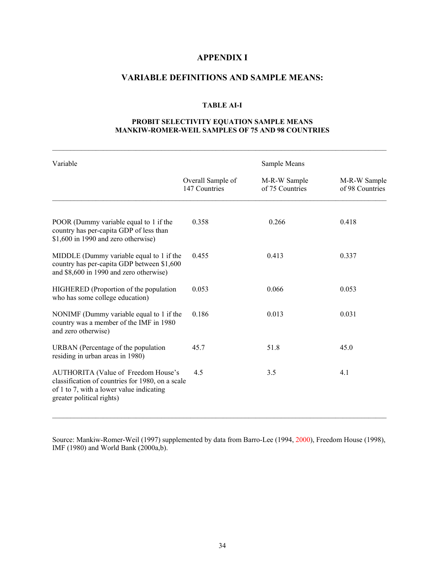## **APPENDIX I**

## **VARIABLE DEFINITIONS AND SAMPLE MEANS:**

## **TABLE AI-I**

### **PROBIT SELECTIVITY EQUATION SAMPLE MEANS MANKIW-ROMER-WEIL SAMPLES OF 75 AND 98 COUNTRIES**

| Variable                                                                                                                                                                |                                    | Sample Means                    |                                 |
|-------------------------------------------------------------------------------------------------------------------------------------------------------------------------|------------------------------------|---------------------------------|---------------------------------|
|                                                                                                                                                                         | Overall Sample of<br>147 Countries | M-R-W Sample<br>of 75 Countries | M-R-W Sample<br>of 98 Countries |
| POOR (Dummy variable equal to 1 if the<br>country has per-capita GDP of less than<br>\$1,600 in 1990 and zero otherwise)                                                | 0.358                              | 0.266                           | 0.418                           |
| MIDDLE (Dummy variable equal to 1 if the<br>country has per-capita GDP between \$1,600<br>and \$8,600 in 1990 and zero otherwise)                                       | 0.455                              | 0.413                           | 0.337                           |
| HIGHERED (Proportion of the population<br>who has some college education)                                                                                               | 0.053                              | 0.066                           | 0.053                           |
| NONIMF (Dummy variable equal to 1 if the<br>country was a member of the IMF in 1980<br>and zero otherwise)                                                              | 0.186                              | 0.013                           | 0.031                           |
| URBAN (Percentage of the population<br>residing in urban areas in 1980)                                                                                                 | 45.7                               | 51.8                            | 45.0                            |
| <b>AUTHORITA (Value of Freedom House's</b><br>classification of countries for 1980, on a scale<br>of 1 to 7, with a lower value indicating<br>greater political rights) | 4.5                                | 3.5                             | 4.1                             |
|                                                                                                                                                                         |                                    |                                 |                                 |

Source: Mankiw-Romer-Weil (1997) supplemented by data from Barro-Lee (1994, 2000), Freedom House (1998), IMF (1980) and World Bank (2000a,b).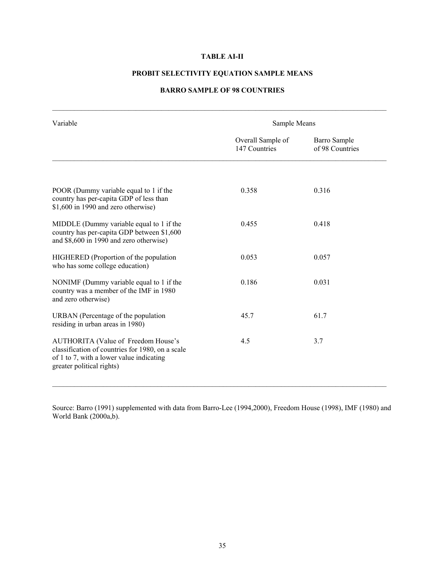## **TABLE AI-II**

## **PROBIT SELECTIVITY EQUATION SAMPLE MEANS**

## **BARRO SAMPLE OF 98 COUNTRIES**

 $\mathcal{L}_\mathcal{L} = \{ \mathcal{L}_\mathcal{L} = \{ \mathcal{L}_\mathcal{L} = \{ \mathcal{L}_\mathcal{L} = \{ \mathcal{L}_\mathcal{L} = \{ \mathcal{L}_\mathcal{L} = \{ \mathcal{L}_\mathcal{L} = \{ \mathcal{L}_\mathcal{L} = \{ \mathcal{L}_\mathcal{L} = \{ \mathcal{L}_\mathcal{L} = \{ \mathcal{L}_\mathcal{L} = \{ \mathcal{L}_\mathcal{L} = \{ \mathcal{L}_\mathcal{L} = \{ \mathcal{L}_\mathcal{L} = \{ \mathcal{L}_\mathcal{$ 

| Variable                                                                                                                                                         | Sample Means                       |                                 |  |
|------------------------------------------------------------------------------------------------------------------------------------------------------------------|------------------------------------|---------------------------------|--|
|                                                                                                                                                                  | Overall Sample of<br>147 Countries | Barro Sample<br>of 98 Countries |  |
|                                                                                                                                                                  |                                    |                                 |  |
| POOR (Dummy variable equal to 1 if the<br>country has per-capita GDP of less than<br>\$1,600 in 1990 and zero otherwise)                                         | 0.358                              | 0.316                           |  |
| MIDDLE (Dummy variable equal to 1 if the<br>country has per-capita GDP between \$1,600<br>and \$8,600 in 1990 and zero otherwise)                                | 0.455                              | 0.418                           |  |
| HIGHERED (Proportion of the population<br>who has some college education)                                                                                        | 0.053                              | 0.057                           |  |
| NONIMF (Dummy variable equal to 1 if the<br>country was a member of the IMF in 1980<br>and zero otherwise)                                                       | 0.186                              | 0.031                           |  |
| URBAN (Percentage of the population<br>residing in urban areas in 1980)                                                                                          | 45.7                               | 61.7                            |  |
| AUTHORITA (Value of Freedom House's<br>classification of countries for 1980, on a scale<br>of 1 to 7, with a lower value indicating<br>greater political rights) | 4.5                                | 3.7                             |  |
|                                                                                                                                                                  |                                    |                                 |  |

Source: Barro (1991) supplemented with data from Barro-Lee (1994,2000), Freedom House (1998), IMF (1980) and World Bank (2000a,b).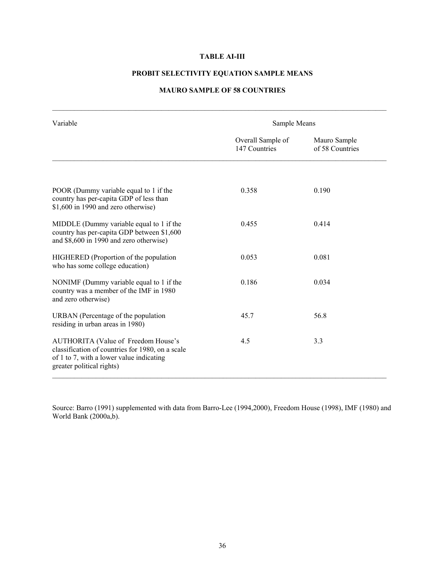## **TABLE AI-III**

## **PROBIT SELECTIVITY EQUATION SAMPLE MEANS**

## **MAURO SAMPLE OF 58 COUNTRIES**

 $\mathcal{L}_\mathcal{L} = \{ \mathcal{L}_\mathcal{L} = \{ \mathcal{L}_\mathcal{L} = \{ \mathcal{L}_\mathcal{L} = \{ \mathcal{L}_\mathcal{L} = \{ \mathcal{L}_\mathcal{L} = \{ \mathcal{L}_\mathcal{L} = \{ \mathcal{L}_\mathcal{L} = \{ \mathcal{L}_\mathcal{L} = \{ \mathcal{L}_\mathcal{L} = \{ \mathcal{L}_\mathcal{L} = \{ \mathcal{L}_\mathcal{L} = \{ \mathcal{L}_\mathcal{L} = \{ \mathcal{L}_\mathcal{L} = \{ \mathcal{L}_\mathcal{$ 

| Variable                                                                                                                                                         | Sample Means                       |                                 |  |
|------------------------------------------------------------------------------------------------------------------------------------------------------------------|------------------------------------|---------------------------------|--|
|                                                                                                                                                                  | Overall Sample of<br>147 Countries | Mauro Sample<br>of 58 Countries |  |
| POOR (Dummy variable equal to 1 if the<br>country has per-capita GDP of less than<br>\$1,600 in 1990 and zero otherwise)                                         | 0.358                              | 0.190                           |  |
| MIDDLE (Dummy variable equal to 1 if the<br>country has per-capita GDP between \$1,600<br>and \$8,600 in 1990 and zero otherwise)                                | 0.455                              | 0.414                           |  |
| HIGHERED (Proportion of the population<br>who has some college education)                                                                                        | 0.053                              | 0.081                           |  |
| NONIMF (Dummy variable equal to 1 if the<br>country was a member of the IMF in 1980<br>and zero otherwise)                                                       | 0.186                              | 0.034                           |  |
| URBAN (Percentage of the population<br>residing in urban areas in 1980)                                                                                          | 45.7                               | 56.8                            |  |
| AUTHORITA (Value of Freedom House's<br>classification of countries for 1980, on a scale<br>of 1 to 7, with a lower value indicating<br>greater political rights) | 4.5                                | 3.3                             |  |

Source: Barro (1991) supplemented with data from Barro-Lee (1994,2000), Freedom House (1998), IMF (1980) and World Bank (2000a,b).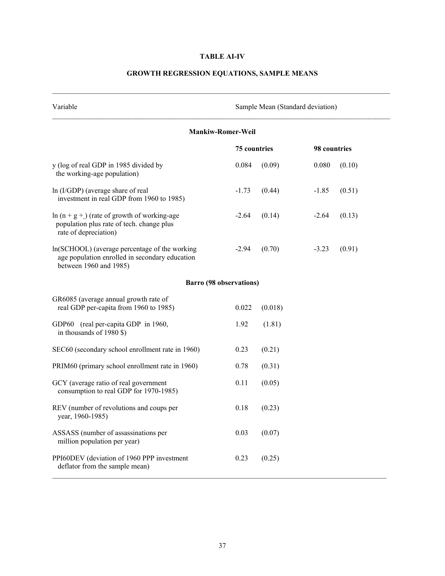## **TABLE AI-IV**

| Variable                                                                                                                  | Sample Mean (Standard deviation) |         |              |        |  |  |  |  |
|---------------------------------------------------------------------------------------------------------------------------|----------------------------------|---------|--------------|--------|--|--|--|--|
| <b>Mankiw-Romer-Weil</b>                                                                                                  |                                  |         |              |        |  |  |  |  |
|                                                                                                                           | <b>75 countries</b>              |         | 98 countries |        |  |  |  |  |
| y (log of real GDP in 1985 divided by<br>the working-age population)                                                      | 0.084                            | (0.09)  | 0.080        | (0.10) |  |  |  |  |
| In (I/GDP) (average share of real<br>investment in real GDP from 1960 to 1985)                                            | $-1.73$                          | (0.44)  | $-1.85$      | (0.51) |  |  |  |  |
| $\ln(n + g +)$ (rate of growth of working-age<br>population plus rate of tech. change plus<br>rate of depreciation)       | $-2.64$                          | (0.14)  | $-2.64$      | (0.13) |  |  |  |  |
| ln(SCHOOL) (average percentage of the working<br>age population enrolled in secondary education<br>between 1960 and 1985) | $-2.94$                          | (0.70)  | $-3.23$      | (0.91) |  |  |  |  |
| <b>Barro</b> (98 observations)                                                                                            |                                  |         |              |        |  |  |  |  |
| GR6085 (average annual growth rate of<br>real GDP per-capita from 1960 to 1985)                                           | 0.022                            | (0.018) |              |        |  |  |  |  |
| GDP60 (real per-capita GDP in 1960,<br>in thousands of 1980 \$)                                                           | 1.92                             | (1.81)  |              |        |  |  |  |  |
| SEC60 (secondary school enrollment rate in 1960)                                                                          | 0.23                             | (0.21)  |              |        |  |  |  |  |
| PRIM60 (primary school enrollment rate in 1960)                                                                           | 0.78                             | (0.31)  |              |        |  |  |  |  |
| GCY (average ratio of real government<br>consumption to real GDP for 1970-1985)                                           | 0.11                             | (0.05)  |              |        |  |  |  |  |
| REV (number of revolutions and coups per<br>year, 1960-1985)                                                              | 0.18                             | (0.23)  |              |        |  |  |  |  |
| ASSASS (number of assassinations per<br>million population per year)                                                      | 0.03                             | (0.07)  |              |        |  |  |  |  |
| PPI60DEV (deviation of 1960 PPP investment<br>deflator from the sample mean)                                              | 0.23                             | (0.25)  |              |        |  |  |  |  |

## **GROWTH REGRESSION EQUATIONS, SAMPLE MEANS**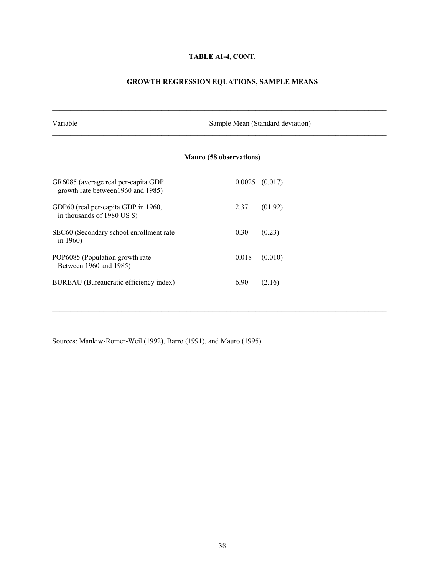## **TABLE AI-4, CONT.**

## **GROWTH REGRESSION EQUATIONS, SAMPLE MEANS**

| Variable                                                                  | Sample Mean (Standard deviation) |         |  |  |
|---------------------------------------------------------------------------|----------------------------------|---------|--|--|
|                                                                           | <b>Mauro</b> (58 observations)   |         |  |  |
|                                                                           |                                  |         |  |  |
| GR6085 (average real per-capita GDP<br>growth rate between 1960 and 1985) | 0.0025                           | (0.017) |  |  |
| GDP60 (real per-capita GDP in 1960,<br>in thousands of 1980 US \$)        | 2.37                             | (01.92) |  |  |
| SEC60 (Secondary school enrollment rate<br>in $1960$ )                    | 0.30                             | (0.23)  |  |  |
| POP6085 (Population growth rate<br>Between 1960 and 1985)                 | 0.018                            | (0.010) |  |  |
| BUREAU (Bureaucratic efficiency index)                                    | 6.90                             | (2.16)  |  |  |

 $\mathcal{L}_\mathcal{L} = \{ \mathcal{L}_\mathcal{L} = \{ \mathcal{L}_\mathcal{L} = \{ \mathcal{L}_\mathcal{L} = \{ \mathcal{L}_\mathcal{L} = \{ \mathcal{L}_\mathcal{L} = \{ \mathcal{L}_\mathcal{L} = \{ \mathcal{L}_\mathcal{L} = \{ \mathcal{L}_\mathcal{L} = \{ \mathcal{L}_\mathcal{L} = \{ \mathcal{L}_\mathcal{L} = \{ \mathcal{L}_\mathcal{L} = \{ \mathcal{L}_\mathcal{L} = \{ \mathcal{L}_\mathcal{L} = \{ \mathcal{L}_\mathcal{$ 

Sources: Mankiw-Romer-Weil (1992), Barro (1991), and Mauro (1995).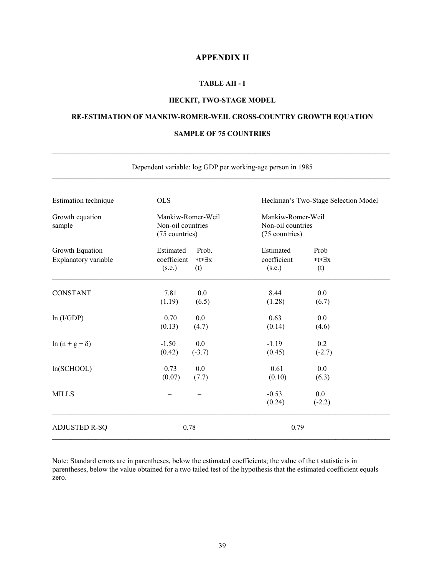## **APPENDIX II**

## **TABLE AII - I**

## **HECKIT, TWO-STAGE MODEL**

## **RE-ESTIMATION OF MANKIW-ROMER-WEIL CROSS-COUNTRY GROWTH EQUATION**

## **SAMPLE OF 75 COUNTRIES**

 $\mathcal{L}_\mathcal{L} = \{ \mathcal{L}_\mathcal{L} = \{ \mathcal{L}_\mathcal{L} = \{ \mathcal{L}_\mathcal{L} = \{ \mathcal{L}_\mathcal{L} = \{ \mathcal{L}_\mathcal{L} = \{ \mathcal{L}_\mathcal{L} = \{ \mathcal{L}_\mathcal{L} = \{ \mathcal{L}_\mathcal{L} = \{ \mathcal{L}_\mathcal{L} = \{ \mathcal{L}_\mathcal{L} = \{ \mathcal{L}_\mathcal{L} = \{ \mathcal{L}_\mathcal{L} = \{ \mathcal{L}_\mathcal{L} = \{ \mathcal{L}_\mathcal{$ 

Dependent variable: log GDP per working-age person in 1985

| Estimation technique  | <b>OLS</b>                                               |                | Heckman's Two-Stage Selection Model<br>Mankiw-Romer-Weil |                       |  |  |
|-----------------------|----------------------------------------------------------|----------------|----------------------------------------------------------|-----------------------|--|--|
| Growth equation       | Mankiw-Romer-Weil<br>Non-oil countries<br>(75 countries) |                |                                                          |                       |  |  |
| sample                |                                                          |                | Non-oil countries<br>(75 countries)                      |                       |  |  |
| Growth Equation       | Estimated                                                | Prob.          | Estimated                                                | Prob                  |  |  |
| Explanatory variable  | coefficient<br>(s.e.)<br>(t)                             | $*t*\exists x$ | coefficient<br>(s.e.)                                    | $*t*\exists x$<br>(t) |  |  |
| <b>CONSTANT</b>       | 7.81<br>0.0                                              |                | 8.44                                                     | 0.0                   |  |  |
|                       | (1.19)<br>(6.5)                                          |                | (1.28)                                                   | (6.7)                 |  |  |
| ln (I/GDP)            | 0.70<br>0.0                                              |                | 0.63                                                     | 0.0                   |  |  |
|                       | (0.13)<br>(4.7)                                          |                | (0.14)                                                   | (4.6)                 |  |  |
| $ln (n + g + \delta)$ | $-1.50$<br>0.0                                           |                | $-1.19$                                                  | 0.2                   |  |  |
|                       | (0.42)<br>$(-3.7)$                                       |                | (0.45)                                                   | $(-2.7)$              |  |  |
| ln(SCHOOL)            | 0.73<br>0.0                                              |                | 0.61                                                     | 0.0                   |  |  |
|                       | (0.07)<br>(7.7)                                          |                | (0.10)                                                   | (6.3)                 |  |  |
| <b>MILLS</b>          |                                                          |                | $-0.53$                                                  | 0.0                   |  |  |
|                       |                                                          |                | (0.24)                                                   | $(-2.2)$              |  |  |
| <b>ADJUSTED R-SQ</b>  | 0.78                                                     |                | 0.79                                                     |                       |  |  |

Note: Standard errors are in parentheses, below the estimated coefficients; the value of the t statistic is in parentheses, below the value obtained for a two tailed test of the hypothesis that the estimated coefficient equals zero.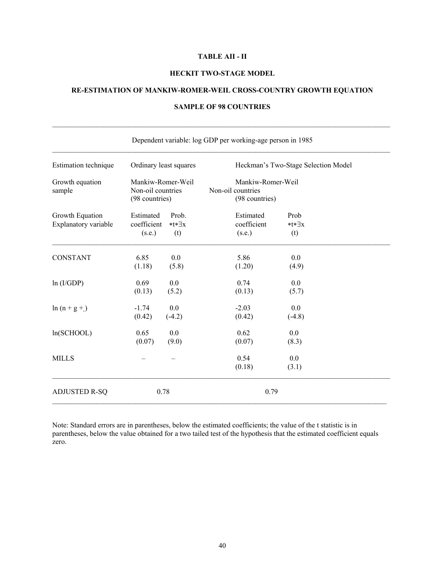### **TABLE AII - II**

#### **HECKIT TWO-STAGE MODEL**

## **RE-ESTIMATION OF MANKIW-ROMER-WEIL CROSS-COUNTRY GROWTH EQUATION**

## **SAMPLE OF 98 COUNTRIES**

|                                         |                                     | Dependent variable: log GDP per working-age person in 1985 |                                     |                                                          |                      |  |
|-----------------------------------------|-------------------------------------|------------------------------------------------------------|-------------------------------------|----------------------------------------------------------|----------------------|--|
| Estimation technique                    | Ordinary least squares              |                                                            | Heckman's Two-Stage Selection Model |                                                          |                      |  |
| Growth equation<br>sample               | Non-oil countries<br>(98 countries) | Mankiw-Romer-Weil                                          |                                     | Mankiw-Romer-Weil<br>Non-oil countries<br>(98 countries) |                      |  |
| Growth Equation<br>Explanatory variable | Estimated<br>coefficient<br>(s.e.)  | Prob.<br>*t*∃x<br>(t)                                      |                                     | Estimated<br>coefficient<br>(s.e.)                       | Prob<br>*t*∃x<br>(t) |  |
| <b>CONSTANT</b>                         | 6.85<br>(1.18)                      | 0.0<br>(5.8)                                               |                                     | 5.86<br>(1.20)                                           | 0.0<br>(4.9)         |  |
| ln(I/GDP)                               | 0.69<br>(0.13)                      | 0.0<br>(5.2)                                               |                                     | 0.74<br>(0.13)                                           | 0.0<br>(5.7)         |  |
| $ln (n + g +)$                          | $-1.74$<br>(0.42)                   | 0.0<br>$(-4.2)$                                            |                                     | $-2.03$<br>(0.42)                                        | 0.0<br>$(-4.8)$      |  |
| ln(SCHOOL)                              | 0.65<br>(0.07)                      | 0.0<br>(9.0)                                               |                                     | 0.62<br>(0.07)                                           | 0.0<br>(8.3)         |  |
| <b>MILLS</b>                            |                                     |                                                            |                                     | 0.54<br>(0.18)                                           | 0.0<br>(3.1)         |  |
| <b>ADJUSTED R-SQ</b>                    |                                     | 0.78                                                       |                                     | 0.79                                                     |                      |  |

Note: Standard errors are in parentheses, below the estimated coefficients; the value of the t statistic is in parentheses, below the value obtained for a two tailed test of the hypothesis that the estimated coefficient equals zero.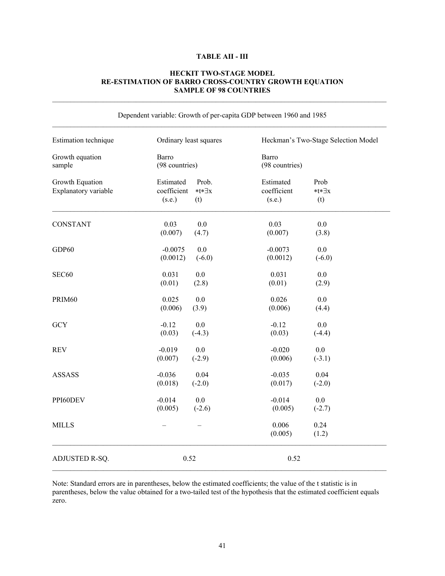## **TABLE AII - III**

### **HECKIT TWO-STAGE MODEL RE-ESTIMATION OF BARRO CROSS-COUNTRY GROWTH EQUATION SAMPLE OF 98 COUNTRIES**

| Estimation technique                    | Ordinary least squares                                               | Heckman's Two-Stage Selection Model |                               |  |  |
|-----------------------------------------|----------------------------------------------------------------------|-------------------------------------|-------------------------------|--|--|
| Growth equation<br>sample               | Barro<br>(98 countries)                                              | Barro<br>(98 countries)             |                               |  |  |
| Growth Equation<br>Explanatory variable | Estimated<br>Prob.<br>coefficient<br>$*t*\exists x$<br>(s.e.)<br>(t) | Estimated<br>coefficient<br>(s.e.)  | Prob<br>$*t*\exists x$<br>(t) |  |  |
| <b>CONSTANT</b>                         | 0.03<br>0.0<br>(0.007)<br>(4.7)                                      | 0.03<br>(0.007)                     | 0.0<br>(3.8)                  |  |  |
| GDP60                                   | $-0.0075$<br>0.0<br>(0.0012)<br>$(-6.0)$                             | $-0.0073$<br>(0.0012)               | 0.0<br>$(-6.0)$               |  |  |
| SEC60                                   | 0.0<br>0.031<br>(0.01)<br>(2.8)                                      | 0.031<br>(0.01)                     | 0.0<br>(2.9)                  |  |  |
| PRIM60                                  | 0.025<br>0.0<br>(0.006)<br>(3.9)                                     | 0.026<br>(0.006)                    | 0.0<br>(4.4)                  |  |  |
| <b>GCY</b>                              | 0.0<br>$-0.12$<br>(0.03)<br>$(-4.3)$                                 | $-0.12$<br>(0.03)                   | 0.0<br>$(-4.4)$               |  |  |
| <b>REV</b>                              | $-0.019$<br>0.0<br>(0.007)<br>$(-2.9)$                               | $-0.020$<br>(0.006)                 | 0.0<br>$(-3.1)$               |  |  |
| <b>ASSASS</b>                           | $-0.036$<br>0.04<br>(0.018)<br>$(-2.0)$                              | $-0.035$<br>(0.017)                 | 0.04<br>$(-2.0)$              |  |  |
| PPI60DEV                                | $-0.014$<br>0.0<br>(0.005)<br>$(-2.6)$                               | $-0.014$<br>(0.005)                 | 0.0<br>$(-2.7)$               |  |  |
| <b>MILLS</b>                            |                                                                      | 0.006<br>(0.005)                    | 0.24<br>(1.2)                 |  |  |
| ADJUSTED R-SQ.                          | 0.52                                                                 | 0.52                                |                               |  |  |

Dependent variable: Growth of per-capita GDP between 1960 and 1985

Note: Standard errors are in parentheses, below the estimated coefficients; the value of the t statistic is in parentheses, below the value obtained for a two-tailed test of the hypothesis that the estimated coefficient equals zero.